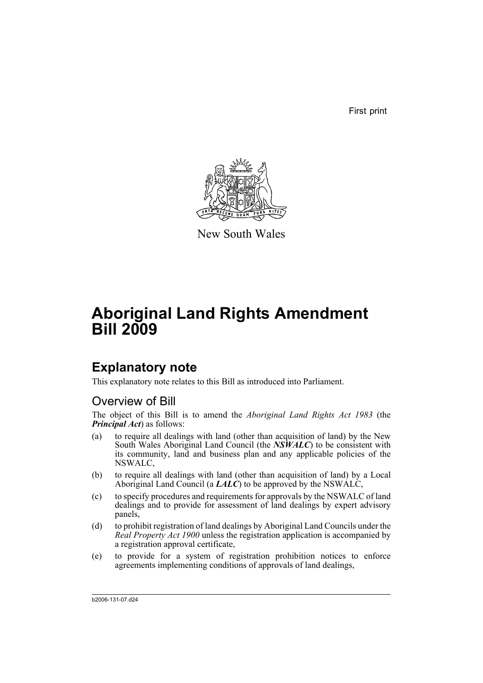First print



New South Wales

# **Aboriginal Land Rights Amendment Bill 2009**

## **Explanatory note**

This explanatory note relates to this Bill as introduced into Parliament.

## Overview of Bill

The object of this Bill is to amend the *Aboriginal Land Rights Act 1983* (the *Principal Act*) as follows:

- (a) to require all dealings with land (other than acquisition of land) by the New South Wales Aboriginal Land Council (the *NSWALC*) to be consistent with its community, land and business plan and any applicable policies of the NSWALC,
- (b) to require all dealings with land (other than acquisition of land) by a Local Aboriginal Land Council (a *LALC*) to be approved by the NSWALC,
- (c) to specify procedures and requirements for approvals by the NSWALC of land dealings and to provide for assessment of land dealings by expert advisory panels,
- (d) to prohibit registration of land dealings by Aboriginal Land Councils under the *Real Property Act 1900* unless the registration application is accompanied by a registration approval certificate,
- (e) to provide for a system of registration prohibition notices to enforce agreements implementing conditions of approvals of land dealings,

b2006-131-07.d24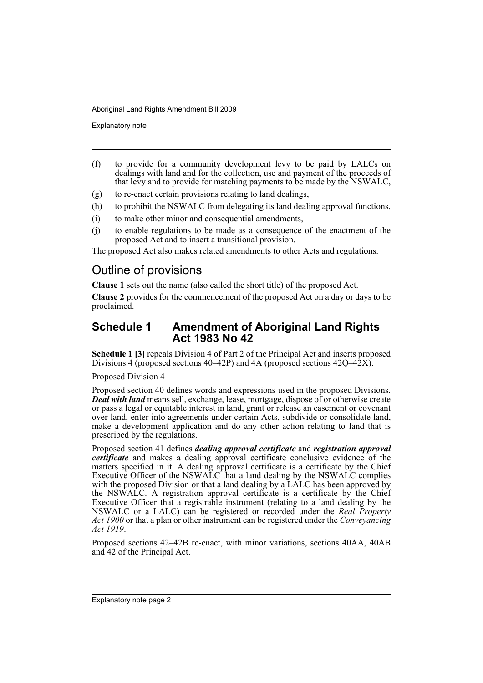Explanatory note

- (f) to provide for a community development levy to be paid by LALCs on dealings with land and for the collection, use and payment of the proceeds of that levy and to provide for matching payments to be made by the NSWALC,
- (g) to re-enact certain provisions relating to land dealings,
- (h) to prohibit the NSWALC from delegating its land dealing approval functions,
- (i) to make other minor and consequential amendments,
- (j) to enable regulations to be made as a consequence of the enactment of the proposed Act and to insert a transitional provision.

The proposed Act also makes related amendments to other Acts and regulations.

## Outline of provisions

**Clause 1** sets out the name (also called the short title) of the proposed Act.

**Clause 2** provides for the commencement of the proposed Act on a day or days to be proclaimed.

## **Schedule 1 Amendment of Aboriginal Land Rights Act 1983 No 42**

**Schedule 1 [3]** repeals Division 4 of Part 2 of the Principal Act and inserts proposed Divisions 4 (proposed sections 40–42P) and 4A (proposed sections 42Q–42 $\chi$ ).

Proposed Division 4

Proposed section 40 defines words and expressions used in the proposed Divisions. *Deal with land* means sell, exchange, lease, mortgage, dispose of or otherwise create or pass a legal or equitable interest in land, grant or release an easement or covenant over land, enter into agreements under certain Acts, subdivide or consolidate land, make a development application and do any other action relating to land that is prescribed by the regulations.

Proposed section 41 defines *dealing approval certificate* and *registration approval certificate* and makes a dealing approval certificate conclusive evidence of the matters specified in it. A dealing approval certificate is a certificate by the Chief Executive Officer of the NSWALC that a land dealing by the NSWALC complies with the proposed Division or that a land dealing by a LALC has been approved by the NSWALC. A registration approval certificate is a certificate by the Chief Executive Officer that a registrable instrument (relating to a land dealing by the NSWALC or a LALC) can be registered or recorded under the *Real Property Act 1900* or that a plan or other instrument can be registered under the *Conveyancing Act 1919*.

Proposed sections 42–42B re-enact, with minor variations, sections 40AA, 40AB and 42 of the Principal Act.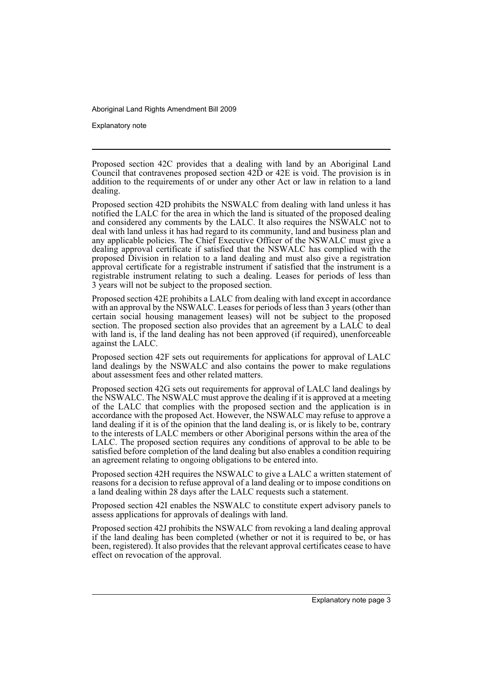Explanatory note

Proposed section 42C provides that a dealing with land by an Aboriginal Land Council that contravenes proposed section 42D or 42E is void. The provision is in addition to the requirements of or under any other Act or law in relation to a land dealing.

Proposed section 42D prohibits the NSWALC from dealing with land unless it has notified the LALC for the area in which the land is situated of the proposed dealing and considered any comments by the LALC. It also requires the NSWALC not to deal with land unless it has had regard to its community, land and business plan and any applicable policies. The Chief Executive Officer of the NSWALC must give a dealing approval certificate if satisfied that the NSWALC has complied with the proposed Division in relation to a land dealing and must also give a registration approval certificate for a registrable instrument if satisfied that the instrument is a registrable instrument relating to such a dealing. Leases for periods of less than 3 years will not be subject to the proposed section.

Proposed section 42E prohibits a LALC from dealing with land except in accordance with an approval by the NSWALC. Leases for periods of less than 3 years (other than certain social housing management leases) will not be subject to the proposed section. The proposed section also provides that an agreement by a LALC to deal with land is, if the land dealing has not been approved (if required), unenforceable against the LALC.

Proposed section 42F sets out requirements for applications for approval of LALC land dealings by the NSWALC and also contains the power to make regulations about assessment fees and other related matters.

Proposed section 42G sets out requirements for approval of LALC land dealings by the NSWALC. The NSWALC must approve the dealing if it is approved at a meeting of the LALC that complies with the proposed section and the application is in accordance with the proposed Act. However, the NSWALC may refuse to approve a land dealing if it is of the opinion that the land dealing is, or is likely to be, contrary to the interests of LALC members or other Aboriginal persons within the area of the LALC. The proposed section requires any conditions of approval to be able to be satisfied before completion of the land dealing but also enables a condition requiring an agreement relating to ongoing obligations to be entered into.

Proposed section 42H requires the NSWALC to give a LALC a written statement of reasons for a decision to refuse approval of a land dealing or to impose conditions on a land dealing within 28 days after the LALC requests such a statement.

Proposed section 42I enables the NSWALC to constitute expert advisory panels to assess applications for approvals of dealings with land.

Proposed section 42J prohibits the NSWALC from revoking a land dealing approval if the land dealing has been completed (whether or not it is required to be, or has been, registered). It also provides that the relevant approval certificates cease to have effect on revocation of the approval.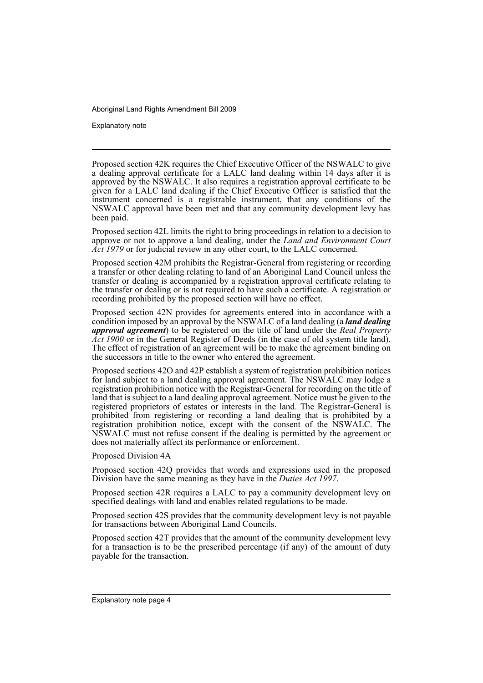Explanatory note

Proposed section 42K requires the Chief Executive Officer of the NSWALC to give a dealing approval certificate for a LALC land dealing within 14 days after it is approved by the NSWALC. It also requires a registration approval certificate to be given for a LALC land dealing if the Chief Executive Officer is satisfied that the instrument concerned is a registrable instrument, that any conditions of the NSWALC approval have been met and that any community development levy has been paid.

Proposed section 42L limits the right to bring proceedings in relation to a decision to approve or not to approve a land dealing, under the *Land and Environment Court Act 1979* or for judicial review in any other court, to the LALC concerned.

Proposed section 42M prohibits the Registrar-General from registering or recording a transfer or other dealing relating to land of an Aboriginal Land Council unless the transfer or dealing is accompanied by a registration approval certificate relating to the transfer or dealing or is not required to have such a certificate. A registration or recording prohibited by the proposed section will have no effect.

Proposed section 42N provides for agreements entered into in accordance with a condition imposed by an approval by the NSWALC of a land dealing (a *land dealing approval agreement*) to be registered on the title of land under the *Real Property Act 1900* or in the General Register of Deeds (in the case of old system title land). The effect of registration of an agreement will be to make the agreement binding on the successors in title to the owner who entered the agreement.

Proposed sections 42O and 42P establish a system of registration prohibition notices for land subject to a land dealing approval agreement. The NSWALC may lodge a registration prohibition notice with the Registrar-General for recording on the title of land that is subject to a land dealing approval agreement. Notice must be given to the registered proprietors of estates or interests in the land. The Registrar-General is prohibited from registering or recording a land dealing that is prohibited by a registration prohibition notice, except with the consent of the NSWALC. The NSWALC must not refuse consent if the dealing is permitted by the agreement or does not materially affect its performance or enforcement.

Proposed Division 4A

Proposed section 42Q provides that words and expressions used in the proposed Division have the same meaning as they have in the *Duties Act 1997*.

Proposed section 42R requires a LALC to pay a community development levy on specified dealings with land and enables related regulations to be made.

Proposed section 42S provides that the community development levy is not payable for transactions between Aboriginal Land Councils.

Proposed section 42T provides that the amount of the community development levy for a transaction is to be the prescribed percentage (if any) of the amount of duty payable for the transaction.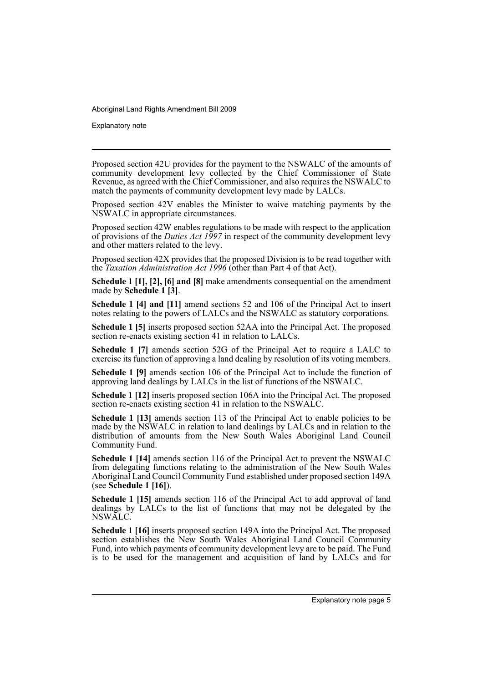Explanatory note

Proposed section 42U provides for the payment to the NSWALC of the amounts of community development levy collected by the Chief Commissioner of State Revenue, as agreed with the Chief Commissioner, and also requires the NSWALC to match the payments of community development levy made by LALCs.

Proposed section 42V enables the Minister to waive matching payments by the NSWALC in appropriate circumstances.

Proposed section 42W enables regulations to be made with respect to the application of provisions of the *Duties Act 1997* in respect of the community development levy and other matters related to the levy.

Proposed section 42X provides that the proposed Division is to be read together with the *Taxation Administration Act 1996* (other than Part 4 of that Act).

**Schedule 1 [1], [2], [6] and [8]** make amendments consequential on the amendment made by **Schedule 1 [3]**.

**Schedule 1 [4] and [11]** amend sections 52 and 106 of the Principal Act to insert notes relating to the powers of LALCs and the NSWALC as statutory corporations.

**Schedule 1 [5]** inserts proposed section 52AA into the Principal Act. The proposed section re-enacts existing section 41 in relation to LALCs.

**Schedule 1 [7]** amends section 52G of the Principal Act to require a LALC to exercise its function of approving a land dealing by resolution of its voting members.

**Schedule 1 [9]** amends section 106 of the Principal Act to include the function of approving land dealings by LALCs in the list of functions of the NSWALC.

**Schedule 1 [12]** inserts proposed section 106A into the Principal Act. The proposed section re-enacts existing section 41 in relation to the NSWALC.

**Schedule 1 [13]** amends section 113 of the Principal Act to enable policies to be made by the NSWALC in relation to land dealings by LALCs and in relation to the distribution of amounts from the New South Wales Aboriginal Land Council Community Fund.

**Schedule 1 [14]** amends section 116 of the Principal Act to prevent the NSWALC from delegating functions relating to the administration of the New South Wales Aboriginal Land Council Community Fund established under proposed section 149A (see **Schedule 1 [16]**).

**Schedule 1 [15]** amends section 116 of the Principal Act to add approval of land dealings by LALCs to the list of functions that may not be delegated by the NSWALC.

**Schedule 1 [16]** inserts proposed section 149A into the Principal Act. The proposed section establishes the New South Wales Aboriginal Land Council Community Fund, into which payments of community development levy are to be paid. The Fund is to be used for the management and acquisition of land by LALCs and for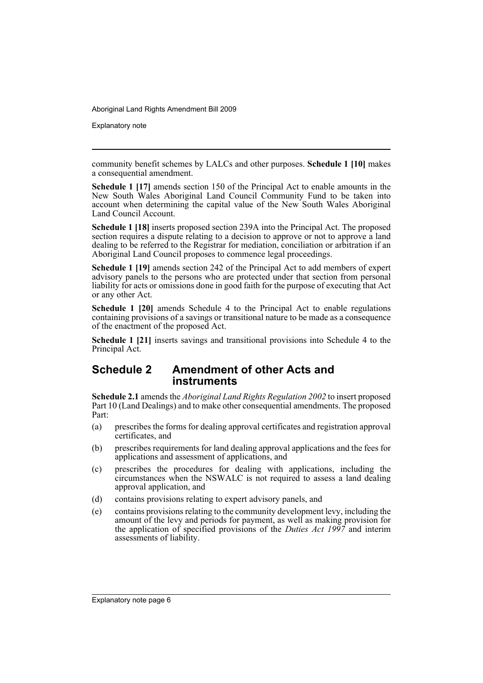Explanatory note

community benefit schemes by LALCs and other purposes. **Schedule 1 [10]** makes a consequential amendment.

**Schedule 1 [17]** amends section 150 of the Principal Act to enable amounts in the New South Wales Aboriginal Land Council Community Fund to be taken into account when determining the capital value of the New South Wales Aboriginal Land Council Account.

**Schedule 1 [18]** inserts proposed section 239A into the Principal Act. The proposed section requires a dispute relating to a decision to approve or not to approve a land dealing to be referred to the Registrar for mediation, conciliation or arbitration if an Aboriginal Land Council proposes to commence legal proceedings.

**Schedule 1 [19]** amends section 242 of the Principal Act to add members of expert advisory panels to the persons who are protected under that section from personal liability for acts or omissions done in good faith for the purpose of executing that Act or any other Act.

**Schedule 1 [20]** amends Schedule 4 to the Principal Act to enable regulations containing provisions of a savings or transitional nature to be made as a consequence of the enactment of the proposed Act.

**Schedule 1 [21]** inserts savings and transitional provisions into Schedule 4 to the Principal Act.

### **Schedule 2 Amendment of other Acts and instruments**

**Schedule 2.1** amends the *Aboriginal Land Rights Regulation 2002* to insert proposed Part 10 (Land Dealings) and to make other consequential amendments. The proposed Part:

- (a) prescribes the forms for dealing approval certificates and registration approval certificates, and
- (b) prescribes requirements for land dealing approval applications and the fees for applications and assessment of applications, and
- (c) prescribes the procedures for dealing with applications, including the circumstances when the NSWALC is not required to assess a land dealing approval application, and
- (d) contains provisions relating to expert advisory panels, and
- (e) contains provisions relating to the community development levy, including the amount of the levy and periods for payment, as well as making provision for the application of specified provisions of the *Duties Act 1997* and interim assessments of liability.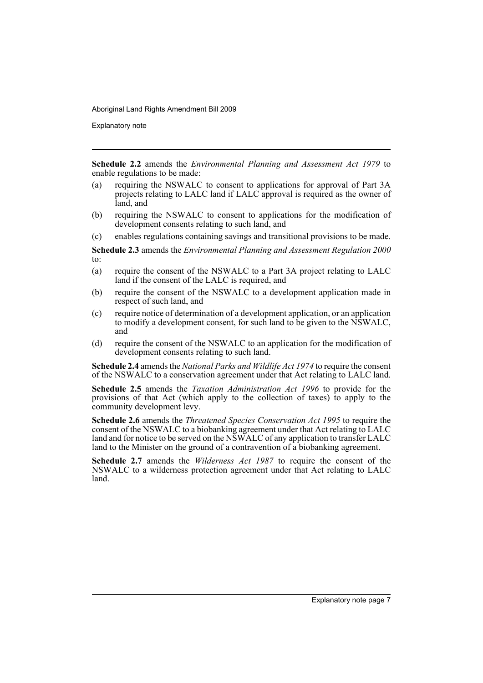Explanatory note

**Schedule 2.2** amends the *Environmental Planning and Assessment Act 1979* to enable regulations to be made:

- (a) requiring the NSWALC to consent to applications for approval of Part 3A projects relating to LALC land if LALC approval is required as the owner of land, and
- (b) requiring the NSWALC to consent to applications for the modification of development consents relating to such land, and
- (c) enables regulations containing savings and transitional provisions to be made.

**Schedule 2.3** amends the *Environmental Planning and Assessment Regulation 2000* to:

- (a) require the consent of the NSWALC to a Part 3A project relating to LALC land if the consent of the LALC is required, and
- (b) require the consent of the NSWALC to a development application made in respect of such land, and
- (c) require notice of determination of a development application, or an application to modify a development consent, for such land to be given to the NSWALC, and
- (d) require the consent of the NSWALC to an application for the modification of development consents relating to such land.

**Schedule 2.4** amends the *National Parks and Wildlife Act 1974* to require the consent of the NSWALC to a conservation agreement under that Act relating to LALC land.

**Schedule 2.5** amends the *Taxation Administration Act 1996* to provide for the provisions of that Act (which apply to the collection of taxes) to apply to the community development levy.

**Schedule 2.6** amends the *Threatened Species Conservation Act 1995* to require the consent of the NSWALC to a biobanking agreement under that Act relating to LALC land and for notice to be served on the NSWALC of any application to transfer LALC land to the Minister on the ground of a contravention of a biobanking agreement.

**Schedule 2.7** amends the *Wilderness Act 1987* to require the consent of the NSWALC to a wilderness protection agreement under that Act relating to LALC land.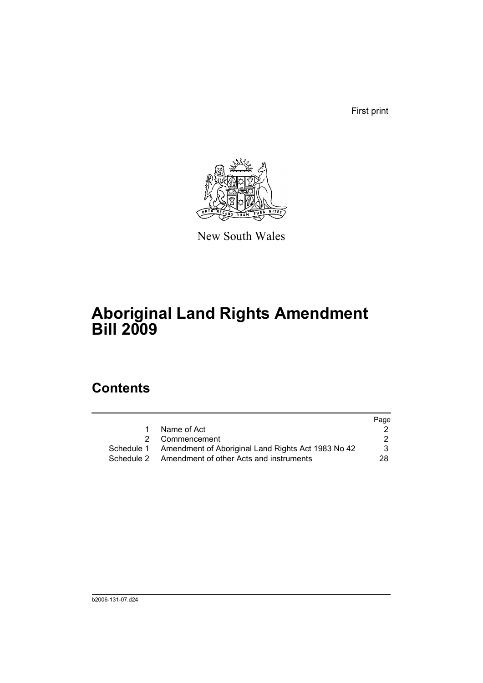First print



New South Wales

# **Aboriginal Land Rights Amendment Bill 2009**

## **Contents**

|   |                                                               | Page |
|---|---------------------------------------------------------------|------|
| 1 | Name of Act                                                   |      |
|   | 2 Commencement                                                |      |
|   | Schedule 1 Amendment of Aboriginal Land Rights Act 1983 No 42 | 3    |
|   | Schedule 2 Amendment of other Acts and instruments            | 28.  |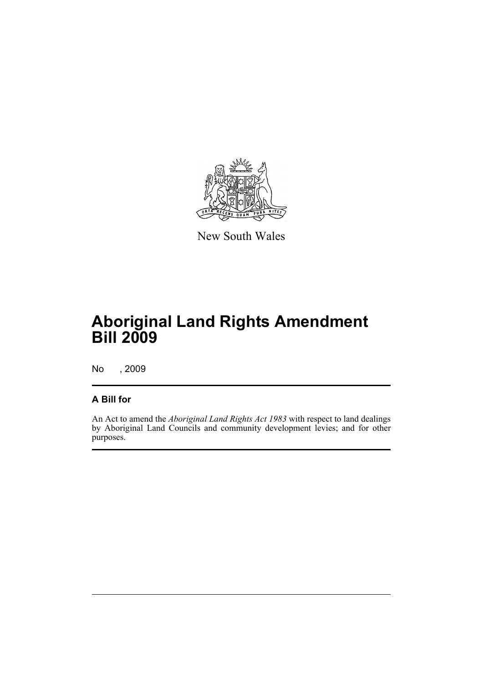

New South Wales

# **Aboriginal Land Rights Amendment Bill 2009**

No , 2009

## **A Bill for**

An Act to amend the *Aboriginal Land Rights Act 1983* with respect to land dealings by Aboriginal Land Councils and community development levies; and for other purposes.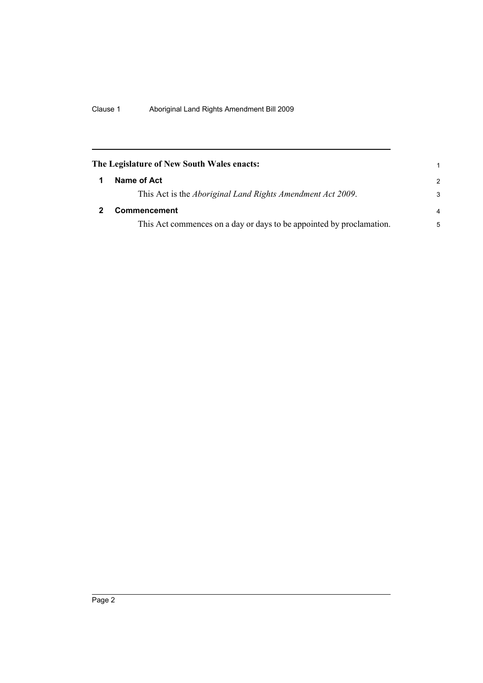<span id="page-11-1"></span><span id="page-11-0"></span>

| The Legislature of New South Wales enacts:<br>1 |                                                                      |               |  |
|-------------------------------------------------|----------------------------------------------------------------------|---------------|--|
|                                                 | Name of Act                                                          | $\mathcal{P}$ |  |
|                                                 | This Act is the <i>Aboriginal Land Rights Amendment Act 2009</i> .   | 3             |  |
|                                                 | Commencement                                                         | 4             |  |
|                                                 | This Act commences on a day or days to be appointed by proclamation. | 5             |  |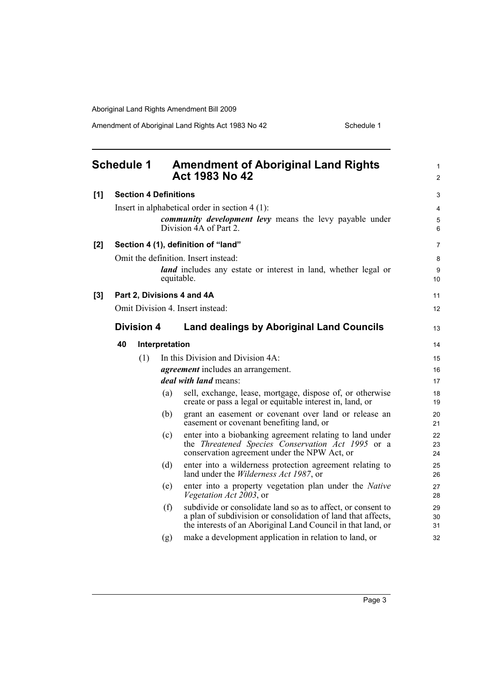Amendment of Aboriginal Land Rights Act 1983 No 42 Schedule 1

<span id="page-12-0"></span>

|     | <b>Schedule 1</b>            |                | <b>Amendment of Aboriginal Land Rights</b><br>Act 1983 No 42                                                                                                                                 | 1<br>$\overline{2}$ |
|-----|------------------------------|----------------|----------------------------------------------------------------------------------------------------------------------------------------------------------------------------------------------|---------------------|
| [1] | <b>Section 4 Definitions</b> |                |                                                                                                                                                                                              | 3                   |
|     |                              |                | Insert in alphabetical order in section $4(1)$ :                                                                                                                                             | $\overline{4}$      |
|     |                              |                | <i>community development levy</i> means the levy payable under<br>Division 4A of Part 2.                                                                                                     | 5<br>6              |
| [2] |                              |                | Section 4 (1), definition of "land"                                                                                                                                                          | $\overline{7}$      |
|     |                              |                | Omit the definition. Insert instead:                                                                                                                                                         | 8                   |
|     |                              |                | <i>land</i> includes any estate or interest in land, whether legal or<br>equitable.                                                                                                          | 9<br>10             |
| [3] | Part 2, Divisions 4 and 4A   |                |                                                                                                                                                                                              | 11                  |
|     |                              |                | Omit Division 4. Insert instead:                                                                                                                                                             | 12                  |
|     | <b>Division 4</b>            |                | <b>Land dealings by Aboriginal Land Councils</b>                                                                                                                                             | 13                  |
|     | 40                           | Interpretation |                                                                                                                                                                                              | 14                  |
|     | (1)                          |                | In this Division and Division 4A:                                                                                                                                                            | 15                  |
|     |                              |                | <i>agreement</i> includes an arrangement.                                                                                                                                                    | 16                  |
|     |                              |                | <i>deal with land</i> means:                                                                                                                                                                 | 17                  |
|     |                              | (a)            | sell, exchange, lease, mortgage, dispose of, or otherwise<br>create or pass a legal or equitable interest in, land, or                                                                       | 18<br>19            |
|     |                              | (b)            | grant an easement or covenant over land or release an<br>easement or covenant benefiting land, or                                                                                            | 20<br>21            |
|     |                              | (c)            | enter into a biobanking agreement relating to land under<br>the Threatened Species Conservation Act 1995 or a<br>conservation agreement under the NPW Act, or                                | 22<br>23<br>24      |
|     |                              | (d)            | enter into a wilderness protection agreement relating to<br>land under the <i>Wilderness Act 1987</i> , or                                                                                   | 25<br>26            |
|     |                              | (e)            | enter into a property vegetation plan under the Native<br>Vegetation Act $2003$ , or                                                                                                         | 27<br>28            |
|     |                              | (f)            | subdivide or consolidate land so as to affect, or consent to<br>a plan of subdivision or consolidation of land that affects,<br>the interests of an Aboriginal Land Council in that land, or | 29<br>30<br>31      |
|     |                              | (g)            | make a development application in relation to land, or                                                                                                                                       | 32                  |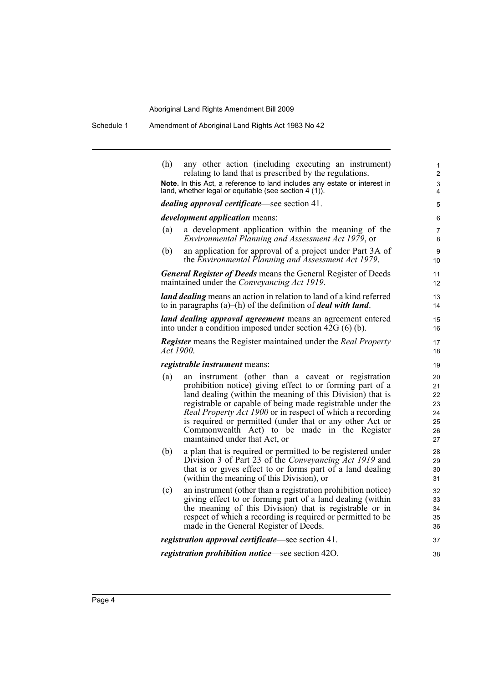Schedule 1 Amendment of Aboriginal Land Rights Act 1983 No 42

| (h) | any other action (including executing an instrument)<br>relating to land that is prescribed by the regulations.                                                                                                                                                                                                                                                                                                                                       | 1<br>$\overline{2}$                          |
|-----|-------------------------------------------------------------------------------------------------------------------------------------------------------------------------------------------------------------------------------------------------------------------------------------------------------------------------------------------------------------------------------------------------------------------------------------------------------|----------------------------------------------|
|     | Note. In this Act, a reference to land includes any estate or interest in<br>land, whether legal or equitable (see section 4 (1)).                                                                                                                                                                                                                                                                                                                    | 3<br>4                                       |
|     | <i>dealing approval certificate</i> —see section 41.                                                                                                                                                                                                                                                                                                                                                                                                  | 5                                            |
|     | <i>development application</i> means:                                                                                                                                                                                                                                                                                                                                                                                                                 | 6                                            |
| (a) | a development application within the meaning of the<br><i>Environmental Planning and Assessment Act 1979, or</i>                                                                                                                                                                                                                                                                                                                                      | 7<br>8                                       |
| (b) | an application for approval of a project under Part 3A of<br>the Environmental Planning and Assessment Act 1979.                                                                                                                                                                                                                                                                                                                                      | 9<br>10                                      |
|     | <b>General Register of Deeds</b> means the General Register of Deeds<br>maintained under the <i>Conveyancing Act 1919</i> .                                                                                                                                                                                                                                                                                                                           | 11<br>12                                     |
|     | <i>land dealing</i> means an action in relation to land of a kind referred<br>to in paragraphs $(a)$ –(h) of the definition of <i>deal with land</i> .                                                                                                                                                                                                                                                                                                | 13<br>14                                     |
|     | <i>land dealing approval agreement</i> means an agreement entered<br>into under a condition imposed under section $42G(6)$ (b).                                                                                                                                                                                                                                                                                                                       | 15<br>16                                     |
|     | <b>Register</b> means the Register maintained under the Real Property<br>Act 1900.                                                                                                                                                                                                                                                                                                                                                                    | 17<br>18                                     |
|     | <i>registrable instrument</i> means:                                                                                                                                                                                                                                                                                                                                                                                                                  | 19                                           |
| (a) | an instrument (other than a caveat or registration<br>prohibition notice) giving effect to or forming part of a<br>land dealing (within the meaning of this Division) that is<br>registrable or capable of being made registrable under the<br>Real Property Act 1900 or in respect of which a recording<br>is required or permitted (under that or any other Act or<br>Commonwealth Act) to be made in the Register<br>maintained under that Act, or | 20<br>21<br>22<br>23<br>24<br>25<br>26<br>27 |
| (b) | a plan that is required or permitted to be registered under<br>Division 3 of Part 23 of the Conveyancing Act 1919 and<br>that is or gives effect to or forms part of a land dealing<br>(within the meaning of this Division), or                                                                                                                                                                                                                      | 28<br>29<br>30<br>31                         |
| (c) | an instrument (other than a registration prohibition notice)<br>giving effect to or forming part of a land dealing (within<br>the meaning of this Division) that is registrable or in<br>respect of which a recording is required or permitted to be<br>made in the General Register of Deeds.                                                                                                                                                        | 32<br>33<br>34<br>35<br>36                   |
|     | <i>registration approval certificate</i> —see section 41.                                                                                                                                                                                                                                                                                                                                                                                             | 37                                           |
|     |                                                                                                                                                                                                                                                                                                                                                                                                                                                       |                                              |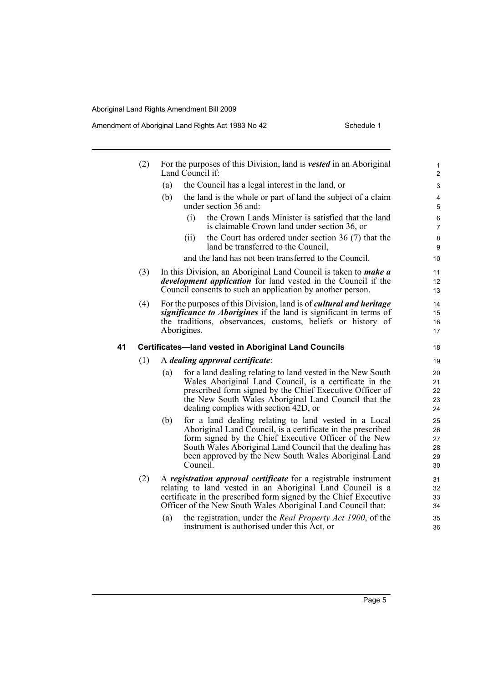|    | (2) | For the purposes of this Division, land is <b><i>vested</i></b> in an Aboriginal<br>Land Council if:                                                                                                                                                                                                                 | 1<br>$\overline{2}$              |
|----|-----|----------------------------------------------------------------------------------------------------------------------------------------------------------------------------------------------------------------------------------------------------------------------------------------------------------------------|----------------------------------|
|    |     | the Council has a legal interest in the land, or<br>(a)                                                                                                                                                                                                                                                              | $\mathsf 3$                      |
|    |     | (b)<br>the land is the whole or part of land the subject of a claim<br>under section 36 and:                                                                                                                                                                                                                         | 4<br>5                           |
|    |     | (i)<br>the Crown Lands Minister is satisfied that the land<br>is claimable Crown land under section 36, or                                                                                                                                                                                                           | 6<br>$\overline{7}$              |
|    |     | the Court has ordered under section 36 (7) that the<br>(ii)<br>land be transferred to the Council,                                                                                                                                                                                                                   | 8<br>9                           |
|    |     | and the land has not been transferred to the Council.                                                                                                                                                                                                                                                                | 10                               |
|    | (3) | In this Division, an Aboriginal Land Council is taken to <i>make a</i><br><i>development application</i> for land vested in the Council if the<br>Council consents to such an application by another person.                                                                                                         | 11<br>12<br>13                   |
|    | (4) | For the purposes of this Division, land is of <i>cultural and heritage</i><br><i>significance to Aborigines</i> if the land is significant in terms of<br>the traditions, observances, customs, beliefs or history of<br>Aborigines.                                                                                 | 14<br>15<br>16<br>17             |
| 41 |     | <b>Certificates-land vested in Aboriginal Land Councils</b>                                                                                                                                                                                                                                                          | 18                               |
|    | (1) | A dealing approval certificate:                                                                                                                                                                                                                                                                                      | 19                               |
|    |     | for a land dealing relating to land vested in the New South<br>(a)<br>Wales Aboriginal Land Council, is a certificate in the<br>prescribed form signed by the Chief Executive Officer of<br>the New South Wales Aboriginal Land Council that the<br>dealing complies with section 42D, or                            | 20<br>21<br>22<br>23<br>24       |
|    |     | for a land dealing relating to land vested in a Local<br>(b)<br>Aboriginal Land Council, is a certificate in the prescribed<br>form signed by the Chief Executive Officer of the New<br>South Wales Aboriginal Land Council that the dealing has<br>been approved by the New South Wales Aboriginal Land<br>Council. | 25<br>26<br>27<br>28<br>29<br>30 |
|    | (2) | A registration approval certificate for a registrable instrument<br>relating to land vested in an Aboriginal Land Council is a<br>certificate in the prescribed form signed by the Chief Executive<br>Officer of the New South Wales Aboriginal Land Council that:                                                   | 31<br>32<br>33<br>34             |
|    |     | the registration, under the <i>Real Property Act 1900</i> , of the<br>(a)<br>instrument is authorised under this Act, or                                                                                                                                                                                             | 35<br>36                         |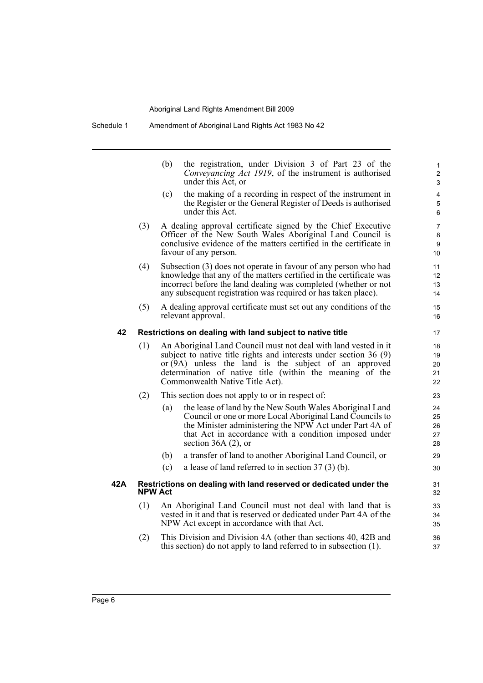|     |                | the registration, under Division 3 of Part 23 of the<br>(b)<br>Conveyancing Act 1919, of the instrument is authorised<br>under this Act, or                                                                                                                                                  | 1<br>$\overline{2}$<br>3                    |
|-----|----------------|----------------------------------------------------------------------------------------------------------------------------------------------------------------------------------------------------------------------------------------------------------------------------------------------|---------------------------------------------|
|     |                | the making of a recording in respect of the instrument in<br>(c)<br>the Register or the General Register of Deeds is authorised<br>under this Act.                                                                                                                                           | 4<br>5<br>6                                 |
|     | (3)            | A dealing approval certificate signed by the Chief Executive<br>Officer of the New South Wales Aboriginal Land Council is<br>conclusive evidence of the matters certified in the certificate in<br>favour of any person.                                                                     | $\overline{7}$<br>8<br>9<br>10 <sup>°</sup> |
|     | (4)            | Subsection (3) does not operate in favour of any person who had<br>knowledge that any of the matters certified in the certificate was<br>incorrect before the land dealing was completed (whether or not<br>any subsequent registration was required or has taken place).                    | 11<br>12 <sup>°</sup><br>13<br>14           |
|     | (5)            | A dealing approval certificate must set out any conditions of the<br>relevant approval.                                                                                                                                                                                                      | 15<br>16                                    |
| 42  |                | Restrictions on dealing with land subject to native title                                                                                                                                                                                                                                    | 17                                          |
|     | (1)            | An Aboriginal Land Council must not deal with land vested in it<br>subject to native title rights and interests under section 36 (9)<br>or (9A) unless the land is the subject of an approved<br>determination of native title (within the meaning of the<br>Commonwealth Native Title Act). | 18<br>19<br>20<br>21<br>22                  |
|     | (2)            | This section does not apply to or in respect of:                                                                                                                                                                                                                                             | 23                                          |
|     |                | the lease of land by the New South Wales Aboriginal Land<br>(a)<br>Council or one or more Local Aboriginal Land Councils to<br>the Minister administering the NPW Act under Part 4A of<br>that Act in accordance with a condition imposed under<br>section $36A(2)$ , or                     | 24<br>25<br>26<br>27<br>28                  |
|     |                | (b)<br>a transfer of land to another Aboriginal Land Council, or                                                                                                                                                                                                                             | 29                                          |
|     |                | (c)<br>a lease of land referred to in section $37(3)$ (b).                                                                                                                                                                                                                                   | 30                                          |
| 42A | <b>NPW Act</b> | Restrictions on dealing with land reserved or dedicated under the                                                                                                                                                                                                                            | 31<br>32                                    |
|     | (1)            | An Aboriginal Land Council must not deal with land that is<br>vested in it and that is reserved or dedicated under Part 4A of the<br>NPW Act except in accordance with that Act.                                                                                                             | 33<br>34<br>35                              |
|     | (2)            | This Division and Division 4A (other than sections 40, 42B and<br>this section) do not apply to land referred to in subsection (1).                                                                                                                                                          | 36<br>37                                    |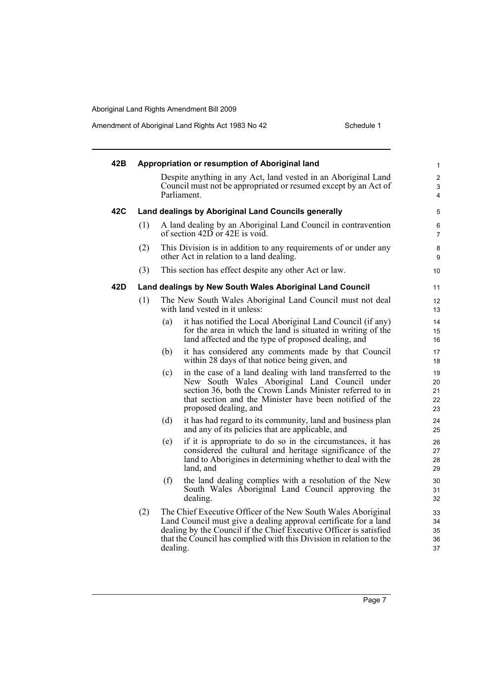Amendment of Aboriginal Land Rights Act 1983 No 42 Schedule 1

| 42B |     | Appropriation or resumption of Aboriginal land                                                                                                                                                                                                                                             | 1                          |
|-----|-----|--------------------------------------------------------------------------------------------------------------------------------------------------------------------------------------------------------------------------------------------------------------------------------------------|----------------------------|
|     |     | Despite anything in any Act, land vested in an Aboriginal Land<br>Council must not be appropriated or resumed except by an Act of<br>Parliament.                                                                                                                                           | 2<br>3<br>4                |
| 42C |     | Land dealings by Aboriginal Land Councils generally                                                                                                                                                                                                                                        | 5                          |
|     | (1) | A land dealing by an Aboriginal Land Council in contravention<br>of section $42D$ or $42E$ is void.                                                                                                                                                                                        | 6<br>$\overline{7}$        |
|     | (2) | This Division is in addition to any requirements of or under any<br>other Act in relation to a land dealing.                                                                                                                                                                               | 8<br>9                     |
|     | (3) | This section has effect despite any other Act or law.                                                                                                                                                                                                                                      | 10                         |
| 42D |     | Land dealings by New South Wales Aboriginal Land Council                                                                                                                                                                                                                                   | 11                         |
|     | (1) | The New South Wales Aboriginal Land Council must not deal<br>with land vested in it unless:                                                                                                                                                                                                | 12<br>13                   |
|     |     | it has notified the Local Aboriginal Land Council (if any)<br>(a)<br>for the area in which the land is situated in writing of the<br>land affected and the type of proposed dealing, and                                                                                                   | 14<br>15<br>16             |
|     |     | it has considered any comments made by that Council<br>(b)<br>within 28 days of that notice being given, and                                                                                                                                                                               | 17<br>18                   |
|     |     | in the case of a land dealing with land transferred to the<br>(c)<br>New South Wales Aboriginal Land Council under<br>section 36, both the Crown Lands Minister referred to in<br>that section and the Minister have been notified of the<br>proposed dealing, and                         | 19<br>20<br>21<br>22<br>23 |
|     |     | (d)<br>it has had regard to its community, land and business plan<br>and any of its policies that are applicable, and                                                                                                                                                                      | 24<br>25                   |
|     |     | if it is appropriate to do so in the circumstances, it has<br>(e)<br>considered the cultural and heritage significance of the<br>land to Aborigines in determining whether to deal with the<br>land, and                                                                                   | 26<br>27<br>28<br>29       |
|     |     | (f)<br>the land dealing complies with a resolution of the New<br>South Wales Aboriginal Land Council approving the<br>dealing.                                                                                                                                                             | 30<br>31<br>32             |
|     | (2) | The Chief Executive Officer of the New South Wales Aboriginal<br>Land Council must give a dealing approval certificate for a land<br>dealing by the Council if the Chief Executive Officer is satisfied<br>that the Council has complied with this Division in relation to the<br>dealing. | 33<br>34<br>35<br>36<br>37 |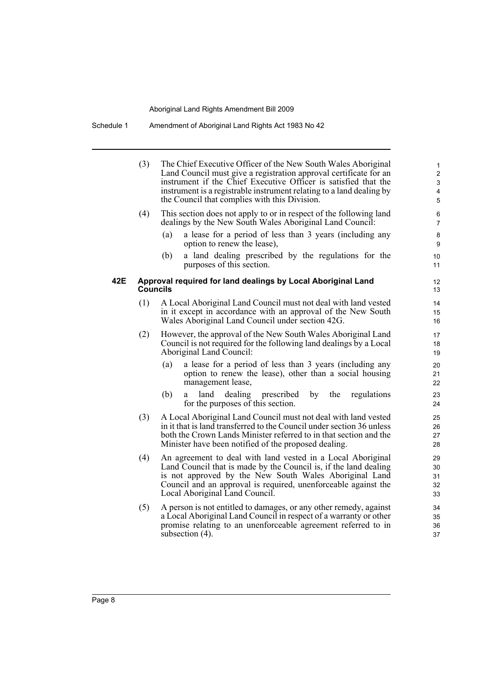|     | (3)             | The Chief Executive Officer of the New South Wales Aboriginal<br>Land Council must give a registration approval certificate for an<br>instrument if the Chief Executive Officer is satisfied that the<br>instrument is a registrable instrument relating to a land dealing by<br>the Council that complies with this Division. | $\mathbf{1}$<br>$\overline{\mathbf{c}}$<br>3<br>4<br>5 |
|-----|-----------------|--------------------------------------------------------------------------------------------------------------------------------------------------------------------------------------------------------------------------------------------------------------------------------------------------------------------------------|--------------------------------------------------------|
|     | (4)             | This section does not apply to or in respect of the following land<br>dealings by the New South Wales Aboriginal Land Council:                                                                                                                                                                                                 | 6<br>$\overline{7}$                                    |
|     |                 | a lease for a period of less than 3 years (including any<br>(a)<br>option to renew the lease),                                                                                                                                                                                                                                 | 8<br>9                                                 |
|     |                 | a land dealing prescribed by the regulations for the<br>(b)<br>purposes of this section.                                                                                                                                                                                                                                       | 10<br>11                                               |
| 42E | <b>Councils</b> | Approval required for land dealings by Local Aboriginal Land                                                                                                                                                                                                                                                                   | 12<br>13                                               |
|     | (1)             | A Local Aboriginal Land Council must not deal with land vested<br>in it except in accordance with an approval of the New South<br>Wales Aboriginal Land Council under section 42G.                                                                                                                                             | 14<br>15<br>16                                         |
|     | (2)             | However, the approval of the New South Wales Aboriginal Land<br>Council is not required for the following land dealings by a Local<br>Aboriginal Land Council:                                                                                                                                                                 | 17<br>18<br>19                                         |
|     |                 | a lease for a period of less than 3 years (including any<br>(a)<br>option to renew the lease), other than a social housing<br>management lease,                                                                                                                                                                                | 20<br>21<br>22                                         |
|     |                 | (b)<br>land<br>dealing prescribed<br>by<br>the<br>regulations<br>a<br>for the purposes of this section.                                                                                                                                                                                                                        | 23<br>24                                               |
|     | (3)             | A Local Aboriginal Land Council must not deal with land vested<br>in it that is land transferred to the Council under section 36 unless<br>both the Crown Lands Minister referred to in that section and the<br>Minister have been notified of the proposed dealing.                                                           | 25<br>26<br>27<br>28                                   |
|     | (4)             | An agreement to deal with land vested in a Local Aboriginal<br>Land Council that is made by the Council is, if the land dealing<br>is not approved by the New South Wales Aboriginal Land<br>Council and an approval is required, unenforceable against the<br>Local Aboriginal Land Council.                                  | 29<br>30<br>31<br>32<br>33                             |
|     | (5)             | A person is not entitled to damages, or any other remedy, against<br>a Local Aboriginal Land Council in respect of a warranty or other<br>promise relating to an unenforceable agreement referred to in<br>subsection $(4)$ .                                                                                                  | 34<br>35<br>36<br>37                                   |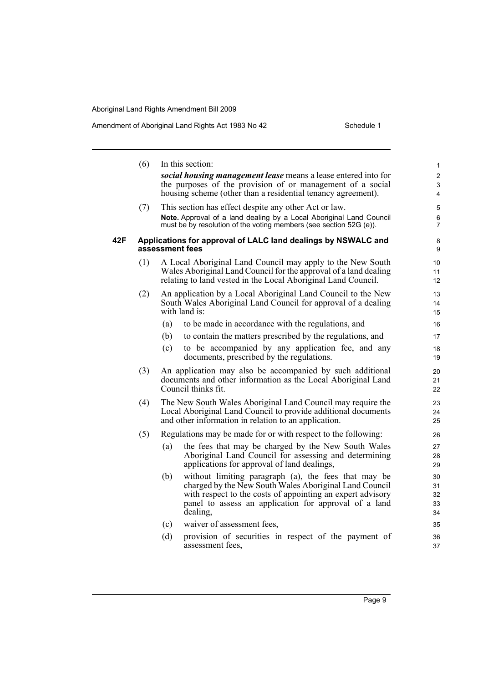J.

#### Amendment of Aboriginal Land Rights Act 1983 No 42 Schedule 1

|     | (6) |     | In this section:                                                                                                                          | 1              |
|-----|-----|-----|-------------------------------------------------------------------------------------------------------------------------------------------|----------------|
|     |     |     | social housing management lease means a lease entered into for                                                                            | $\overline{2}$ |
|     |     |     | the purposes of the provision of or management of a social<br>housing scheme (other than a residential tenancy agreement).                | 3<br>4         |
|     | (7) |     | This section has effect despite any other Act or law.                                                                                     | 5              |
|     |     |     | Note. Approval of a land dealing by a Local Aboriginal Land Council<br>must be by resolution of the voting members (see section 52G (e)). | 6<br>7         |
| 42F |     |     | Applications for approval of LALC land dealings by NSWALC and<br>assessment fees                                                          | 8<br>9         |
|     | (1) |     | A Local Aboriginal Land Council may apply to the New South                                                                                | 10             |
|     |     |     | Wales Aboriginal Land Council for the approval of a land dealing<br>relating to land vested in the Local Aboriginal Land Council.         | 11<br>12       |
|     | (2) |     | An application by a Local Aboriginal Land Council to the New                                                                              | 13             |
|     |     |     | South Wales Aboriginal Land Council for approval of a dealing<br>with land is:                                                            | 14<br>15       |
|     |     | (a) | to be made in accordance with the regulations, and                                                                                        | 16             |
|     |     | (b) | to contain the matters prescribed by the regulations, and                                                                                 | 17             |
|     |     | (c) | to be accompanied by any application fee, and any                                                                                         | 18             |
|     |     |     | documents, prescribed by the regulations.                                                                                                 | 19             |
|     | (3) |     | An application may also be accompanied by such additional                                                                                 | 20             |
|     |     |     | documents and other information as the Local Aboriginal Land<br>Council thinks fit.                                                       | 21<br>22       |
|     | (4) |     | The New South Wales Aboriginal Land Council may require the                                                                               | 23             |
|     |     |     | Local Aboriginal Land Council to provide additional documents                                                                             | 24             |
|     |     |     | and other information in relation to an application.                                                                                      | 25             |
|     | (5) |     | Regulations may be made for or with respect to the following:                                                                             | 26             |
|     |     | (a) | the fees that may be charged by the New South Wales                                                                                       | 27             |
|     |     |     | Aboriginal Land Council for assessing and determining<br>applications for approval of land dealings,                                      | 28<br>29       |
|     |     | (b) | without limiting paragraph (a), the fees that may be                                                                                      | 30             |
|     |     |     | charged by the New South Wales Aboriginal Land Council<br>with respect to the costs of appointing an expert advisory                      | 31<br>32       |
|     |     |     | panel to assess an application for approval of a land                                                                                     | 33             |
|     |     |     | dealing,                                                                                                                                  | 34             |
|     |     | (c) | waiver of assessment fees,                                                                                                                | 35             |
|     |     | (d) | provision of securities in respect of the payment of<br>assessment fees.                                                                  | 36<br>37       |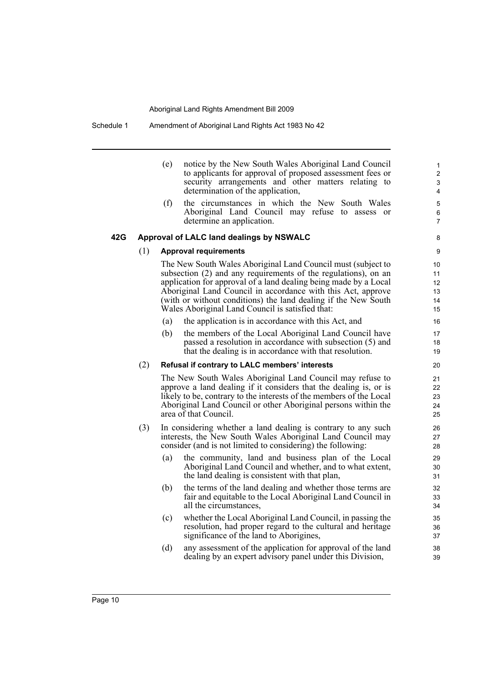|     |     | (e) | notice by the New South Wales Aboriginal Land Council<br>to applicants for approval of proposed assessment fees or<br>security arrangements and other matters relating to<br>determination of the application,                                                                                                                                                                           | $\mathbf{1}$<br>2<br>3<br>4      |
|-----|-----|-----|------------------------------------------------------------------------------------------------------------------------------------------------------------------------------------------------------------------------------------------------------------------------------------------------------------------------------------------------------------------------------------------|----------------------------------|
|     |     | (f) | the circumstances in which the New South Wales<br>Aboriginal Land Council may refuse to assess or<br>determine an application.                                                                                                                                                                                                                                                           | 5<br>6<br>$\overline{7}$         |
| 42G |     |     | Approval of LALC land dealings by NSWALC                                                                                                                                                                                                                                                                                                                                                 | 8                                |
|     | (1) |     | <b>Approval requirements</b>                                                                                                                                                                                                                                                                                                                                                             | 9                                |
|     |     |     | The New South Wales Aboriginal Land Council must (subject to<br>subsection (2) and any requirements of the regulations), on an<br>application for approval of a land dealing being made by a Local<br>Aboriginal Land Council in accordance with this Act, approve<br>(with or without conditions) the land dealing if the New South<br>Wales Aboriginal Land Council is satisfied that: | 10<br>11<br>12<br>13<br>14<br>15 |
|     |     | (a) | the application is in accordance with this Act, and                                                                                                                                                                                                                                                                                                                                      | 16                               |
|     |     | (b) | the members of the Local Aboriginal Land Council have<br>passed a resolution in accordance with subsection (5) and<br>that the dealing is in accordance with that resolution.                                                                                                                                                                                                            | 17<br>18<br>19                   |
|     | (2) |     | Refusal if contrary to LALC members' interests                                                                                                                                                                                                                                                                                                                                           | 20                               |
|     |     |     | The New South Wales Aboriginal Land Council may refuse to<br>approve a land dealing if it considers that the dealing is, or is<br>likely to be, contrary to the interests of the members of the Local<br>Aboriginal Land Council or other Aboriginal persons within the<br>area of that Council.                                                                                         | 21<br>22<br>23<br>24<br>25       |
|     | (3) |     | In considering whether a land dealing is contrary to any such<br>interests, the New South Wales Aboriginal Land Council may<br>consider (and is not limited to considering) the following:                                                                                                                                                                                               | 26<br>27<br>28                   |
|     |     | (a) | the community, land and business plan of the Local<br>Aboriginal Land Council and whether, and to what extent,<br>the land dealing is consistent with that plan,                                                                                                                                                                                                                         | 29<br>30<br>31                   |
|     |     | (b) | the terms of the land dealing and whether those terms are<br>fair and equitable to the Local Aboriginal Land Council in<br>all the circumstances,                                                                                                                                                                                                                                        | 32<br>33<br>34                   |
|     |     | (c) | whether the Local Aboriginal Land Council, in passing the<br>resolution, had proper regard to the cultural and heritage<br>significance of the land to Aborigines,                                                                                                                                                                                                                       | 35<br>36<br>37                   |
|     |     | (d) | any assessment of the application for approval of the land<br>dealing by an expert advisory panel under this Division,                                                                                                                                                                                                                                                                   | 38<br>39                         |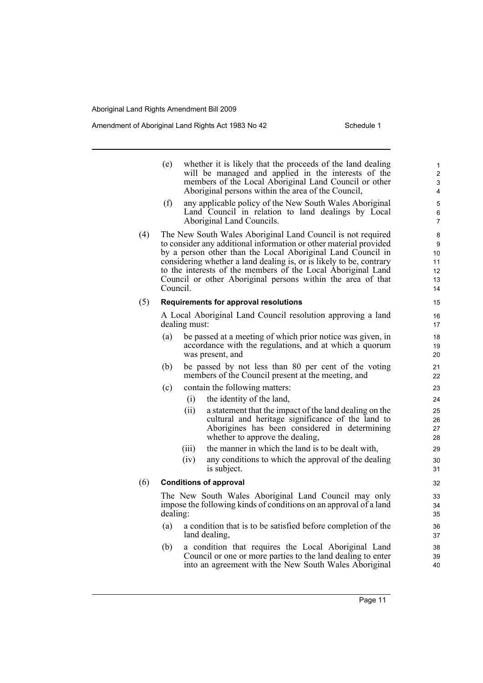Amendment of Aboriginal Land Rights Act 1983 No 42 Schedule 1

|     | (e)                                                                                                                                   | whether it is likely that the proceeds of the land dealing<br>will be managed and applied in the interests of the<br>members of the Local Aboriginal Land Council or other<br>Aboriginal persons within the area of the Council,                                                                                                                                                                      |  |  |
|-----|---------------------------------------------------------------------------------------------------------------------------------------|-------------------------------------------------------------------------------------------------------------------------------------------------------------------------------------------------------------------------------------------------------------------------------------------------------------------------------------------------------------------------------------------------------|--|--|
|     | (f)                                                                                                                                   | any applicable policy of the New South Wales Aboriginal<br>Land Council in relation to land dealings by Local<br>Aboriginal Land Councils.                                                                                                                                                                                                                                                            |  |  |
| (4) | Council.                                                                                                                              | The New South Wales Aboriginal Land Council is not required<br>to consider any additional information or other material provided<br>by a person other than the Local Aboriginal Land Council in<br>considering whether a land dealing is, or is likely to be, contrary<br>to the interests of the members of the Local Aboriginal Land<br>Council or other Aboriginal persons within the area of that |  |  |
| (5) |                                                                                                                                       | <b>Requirements for approval resolutions</b>                                                                                                                                                                                                                                                                                                                                                          |  |  |
|     |                                                                                                                                       | A Local Aboriginal Land Council resolution approving a land<br>dealing must:                                                                                                                                                                                                                                                                                                                          |  |  |
|     | (a)                                                                                                                                   | be passed at a meeting of which prior notice was given, in<br>accordance with the regulations, and at which a quorum<br>was present, and                                                                                                                                                                                                                                                              |  |  |
|     | (b)                                                                                                                                   | be passed by not less than 80 per cent of the voting<br>members of the Council present at the meeting, and                                                                                                                                                                                                                                                                                            |  |  |
|     | (c)                                                                                                                                   | contain the following matters:                                                                                                                                                                                                                                                                                                                                                                        |  |  |
|     |                                                                                                                                       | (i)<br>the identity of the land,                                                                                                                                                                                                                                                                                                                                                                      |  |  |
|     |                                                                                                                                       | (ii)<br>a statement that the impact of the land dealing on the<br>cultural and heritage significance of the land to<br>Aborigines has been considered in determining<br>whether to approve the dealing,                                                                                                                                                                                               |  |  |
|     |                                                                                                                                       | (iii)<br>the manner in which the land is to be dealt with,                                                                                                                                                                                                                                                                                                                                            |  |  |
|     |                                                                                                                                       | (iv)<br>any conditions to which the approval of the dealing<br>is subject.                                                                                                                                                                                                                                                                                                                            |  |  |
| (6) |                                                                                                                                       | <b>Conditions of approval</b>                                                                                                                                                                                                                                                                                                                                                                         |  |  |
|     | The New South Wales Aboriginal Land Council may only<br>impose the following kinds of conditions on an approval of a land<br>dealing: |                                                                                                                                                                                                                                                                                                                                                                                                       |  |  |
|     | (a)                                                                                                                                   | a condition that is to be satisfied before completion of the<br>land dealing,                                                                                                                                                                                                                                                                                                                         |  |  |
|     | (b)                                                                                                                                   | a condition that requires the Local Aboriginal Land<br>Council or one or more parties to the land dealing to enter                                                                                                                                                                                                                                                                                    |  |  |

into an agreement with the New South Wales Aboriginal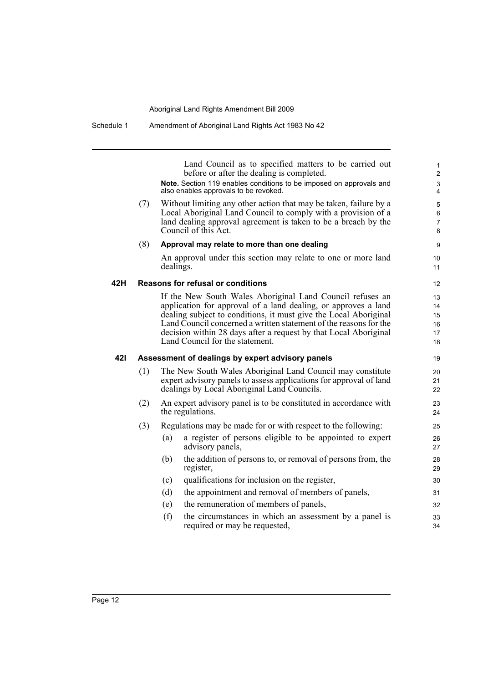| Schedule 1 | Amendment of Aboriginal Land Rights Act 1983 No 42 |
|------------|----------------------------------------------------|
|            |                                                    |

Land Council as to specified matters to be carried out before or after the dealing is completed.

**Note.** Section 119 enables conditions to be imposed on approvals and also enables approvals to be revoked.

(7) Without limiting any other action that may be taken, failure by a Local Aboriginal Land Council to comply with a provision of a land dealing approval agreement is taken to be a breach by the Council of this Act.

#### (8) **Approval may relate to more than one dealing**

An approval under this section may relate to one or more land dealings.

#### **42H Reasons for refusal or conditions**

If the New South Wales Aboriginal Land Council refuses an application for approval of a land dealing, or approves a land dealing subject to conditions, it must give the Local Aboriginal Land Council concerned a written statement of the reasons for the decision within 28 days after a request by that Local Aboriginal Land Council for the statement.

#### **42I Assessment of dealings by expert advisory panels**

- (1) The New South Wales Aboriginal Land Council may constitute expert advisory panels to assess applications for approval of land dealings by Local Aboriginal Land Councils.
- (2) An expert advisory panel is to be constituted in accordance with the regulations.

#### (3) Regulations may be made for or with respect to the following:

- (a) a register of persons eligible to be appointed to expert advisory panels,
- (b) the addition of persons to, or removal of persons from, the register,
- (c) qualifications for inclusion on the register,
- (d) the appointment and removal of members of panels,
- (e) the remuneration of members of panels,
- (f) the circumstances in which an assessment by a panel is required or may be requested,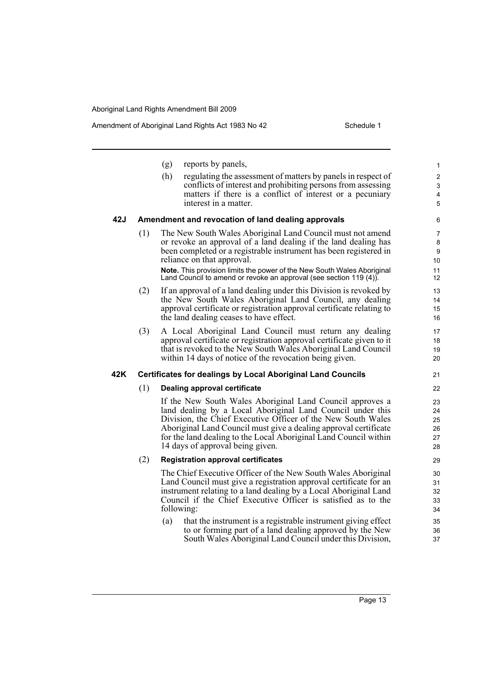Amendment of Aboriginal Land Rights Act 1983 No 42 Schedule 1

(g) reports by panels, (h) regulating the assessment of matters by panels in respect of conflicts of interest and prohibiting persons from assessing matters if there is a conflict of interest or a pecuniary interest in a matter. **42J Amendment and revocation of land dealing approvals** (1) The New South Wales Aboriginal Land Council must not amend or revoke an approval of a land dealing if the land dealing has been completed or a registrable instrument has been registered in reliance on that approval. **Note.** This provision limits the power of the New South Wales Aboriginal Land Council to amend or revoke an approval (see section 119 (4)). (2) If an approval of a land dealing under this Division is revoked by the New South Wales Aboriginal Land Council, any dealing approval certificate or registration approval certificate relating to the land dealing ceases to have effect. (3) A Local Aboriginal Land Council must return any dealing approval certificate or registration approval certificate given to it that is revoked to the New South Wales Aboriginal Land Council within 14 days of notice of the revocation being given. **42K Certificates for dealings by Local Aboriginal Land Councils** (1) **Dealing approval certificate** If the New South Wales Aboriginal Land Council approves a land dealing by a Local Aboriginal Land Council under this Division, the Chief Executive Officer of the New South Wales Aboriginal Land Council must give a dealing approval certificate for the land dealing to the Local Aboriginal Land Council within 14 days of approval being given. (2) **Registration approval certificates** The Chief Executive Officer of the New South Wales Aboriginal Land Council must give a registration approval certificate for an instrument relating to a land dealing by a Local Aboriginal Land Council if the Chief Executive Officer is satisfied as to the following: (a) that the instrument is a registrable instrument giving effect to or forming part of a land dealing approved by the New South Wales Aboriginal Land Council under this Division, 1 2 3 4 5 6 7 8 **9** 10 11 12 13 14 15 16 17 18 19  $20$ 21  $22$ 23  $24$ 25 26 27 28 29 30 31 32 33 34 35 36 37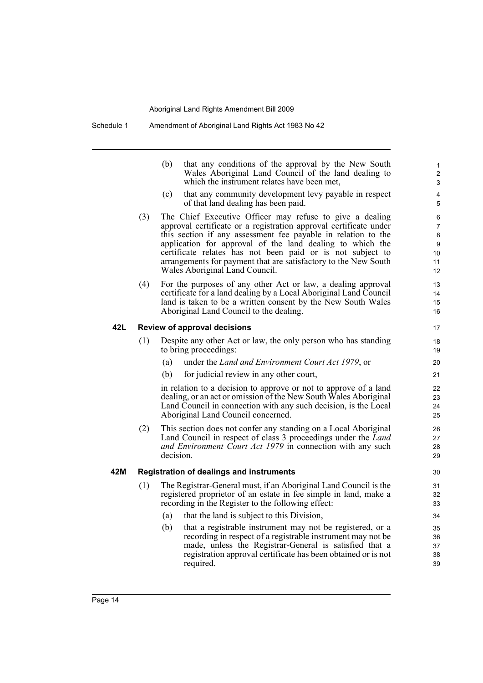(b) that any conditions of the approval by the New South Wales Aboriginal Land Council of the land dealing to which the instrument relates have been met,

- (c) that any community development levy payable in respect of that land dealing has been paid.
- (3) The Chief Executive Officer may refuse to give a dealing approval certificate or a registration approval certificate under this section if any assessment fee payable in relation to the application for approval of the land dealing to which the certificate relates has not been paid or is not subject to arrangements for payment that are satisfactory to the New South Wales Aboriginal Land Council.
- (4) For the purposes of any other Act or law, a dealing approval certificate for a land dealing by a Local Aboriginal Land Council land is taken to be a written consent by the New South Wales Aboriginal Land Council to the dealing.

#### **42L Review of approval decisions**

- (1) Despite any other Act or law, the only person who has standing to bring proceedings:
	- (a) under the *Land and Environment Court Act 1979*, or
	- (b) for judicial review in any other court,

in relation to a decision to approve or not to approve of a land dealing, or an act or omission of the New South Wales Aboriginal Land Council in connection with any such decision, is the Local Aboriginal Land Council concerned.

(2) This section does not confer any standing on a Local Aboriginal Land Council in respect of class 3 proceedings under the *Land and Environment Court Act 1979* in connection with any such decision.

#### **42M Registration of dealings and instruments**

- (1) The Registrar-General must, if an Aboriginal Land Council is the registered proprietor of an estate in fee simple in land, make a recording in the Register to the following effect:
	- (a) that the land is subject to this Division,
	- (b) that a registrable instrument may not be registered, or a recording in respect of a registrable instrument may not be made, unless the Registrar-General is satisfied that a registration approval certificate has been obtained or is not required.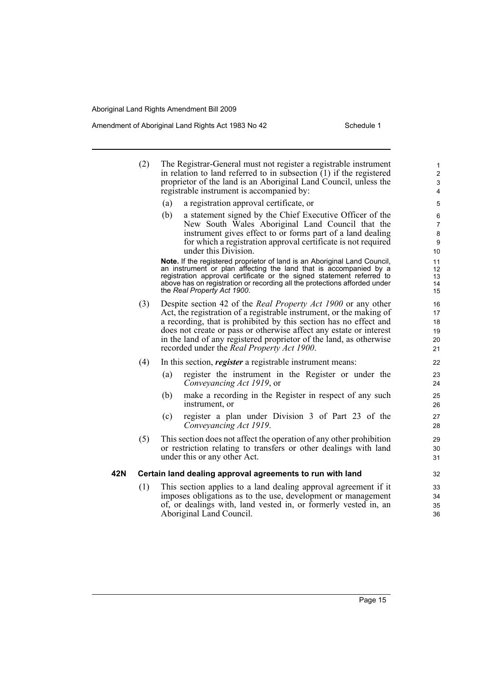Amendment of Aboriginal Land Rights Act 1983 No 42 Schedule 1

- (2) The Registrar-General must not register a registrable instrument in relation to land referred to in subsection  $(1)$  if the registered proprietor of the land is an Aboriginal Land Council, unless the registrable instrument is accompanied by:
	- (a) a registration approval certificate, or
	- (b) a statement signed by the Chief Executive Officer of the New South Wales Aboriginal Land Council that the instrument gives effect to or forms part of a land dealing for which a registration approval certificate is not required under this Division.

**Note.** If the registered proprietor of land is an Aboriginal Land Council, an instrument or plan affecting the land that is accompanied by a registration approval certificate or the signed statement referred to above has on registration or recording all the protections afforded under the *Real Property Act 1900*.

- (3) Despite section 42 of the *Real Property Act 1900* or any other Act, the registration of a registrable instrument, or the making of a recording, that is prohibited by this section has no effect and does not create or pass or otherwise affect any estate or interest in the land of any registered proprietor of the land, as otherwise recorded under the *Real Property Act 1900*.
- (4) In this section, *register* a registrable instrument means:
	- (a) register the instrument in the Register or under the *Conveyancing Act 1919*, or
	- (b) make a recording in the Register in respect of any such instrument, or
	- (c) register a plan under Division 3 of Part 23 of the *Conveyancing Act 1919*.
- (5) This section does not affect the operation of any other prohibition or restriction relating to transfers or other dealings with land under this or any other Act.

#### **42N Certain land dealing approval agreements to run with land**

(1) This section applies to a land dealing approval agreement if it imposes obligations as to the use, development or management of, or dealings with, land vested in, or formerly vested in, an Aboriginal Land Council.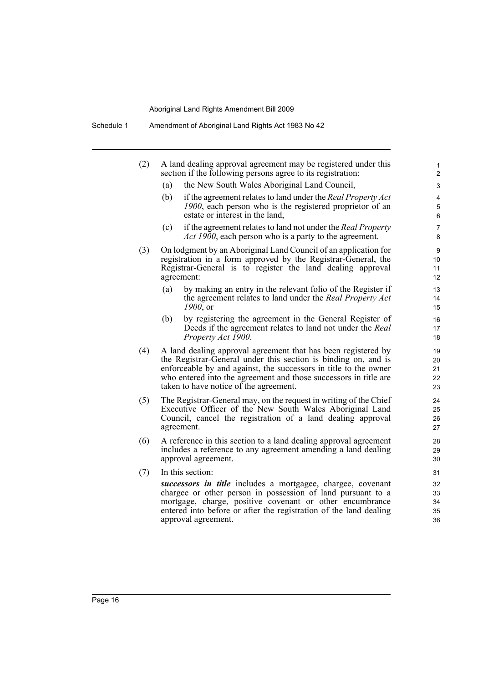Schedule 1 Amendment of Aboriginal Land Rights Act 1983 No 42

| (2) |     | A land dealing approval agreement may be registered under this<br>section if the following persons agree to its registration:                                                                                                                                                                                     | 1<br>$\overline{2}$              |
|-----|-----|-------------------------------------------------------------------------------------------------------------------------------------------------------------------------------------------------------------------------------------------------------------------------------------------------------------------|----------------------------------|
|     | (a) | the New South Wales Aboriginal Land Council,                                                                                                                                                                                                                                                                      | 3                                |
|     | (b) | if the agreement relates to land under the Real Property Act<br>1900, each person who is the registered proprietor of an<br>estate or interest in the land,                                                                                                                                                       | 4<br>5<br>6                      |
|     | (c) | if the agreement relates to land not under the Real Property<br><i>Act 1900</i> , each person who is a party to the agreement.                                                                                                                                                                                    | $\overline{7}$<br>8              |
| (3) |     | On lodgment by an Aboriginal Land Council of an application for<br>registration in a form approved by the Registrar-General, the<br>Registrar-General is to register the land dealing approval<br>agreement:                                                                                                      | 9<br>10<br>11<br>12              |
|     | (a) | by making an entry in the relevant folio of the Register if<br>the agreement relates to land under the Real Property Act<br>$1900$ , or                                                                                                                                                                           | 13<br>14<br>15                   |
|     | (b) | by registering the agreement in the General Register of<br>Deeds if the agreement relates to land not under the Real<br>Property Act 1900.                                                                                                                                                                        | 16<br>17<br>18                   |
| (4) |     | A land dealing approval agreement that has been registered by<br>the Registrar-General under this section is binding on, and is<br>enforceable by and against, the successors in title to the owner<br>who entered into the agreement and those successors in title are<br>taken to have notice of the agreement. | 19<br>20<br>21<br>22<br>23       |
| (5) |     | The Registrar-General may, on the request in writing of the Chief<br>Executive Officer of the New South Wales Aboriginal Land<br>Council, cancel the registration of a land dealing approval<br>agreement.                                                                                                        | 24<br>25<br>26<br>27             |
| (6) |     | A reference in this section to a land dealing approval agreement<br>includes a reference to any agreement amending a land dealing<br>approval agreement.                                                                                                                                                          | 28<br>29<br>30                   |
| (7) |     | In this section:<br>successors in title includes a mortgagee, chargee, covenant<br>chargee or other person in possession of land pursuant to a<br>mortgage, charge, positive covenant or other encumbrance<br>entered into before or after the registration of the land dealing<br>approval agreement.            | 31<br>32<br>33<br>34<br>35<br>36 |
|     |     |                                                                                                                                                                                                                                                                                                                   |                                  |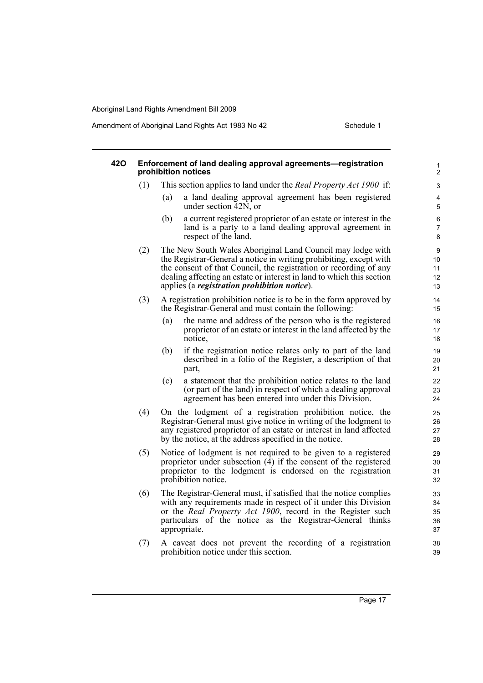Amendment of Aboriginal Land Rights Act 1983 No 42 Schedule 1

| 420 |     | Enforcement of land dealing approval agreements-registration<br>prohibition notices                                                                                                                                                                                                                                            | 1<br>$\overline{2}$        |
|-----|-----|--------------------------------------------------------------------------------------------------------------------------------------------------------------------------------------------------------------------------------------------------------------------------------------------------------------------------------|----------------------------|
|     | (1) | This section applies to land under the <i>Real Property Act 1900</i> if:                                                                                                                                                                                                                                                       | $\ensuremath{\mathsf{3}}$  |
|     |     | a land dealing approval agreement has been registered<br>(a)<br>under section 42N, or                                                                                                                                                                                                                                          | 4<br>5                     |
|     |     | a current registered proprietor of an estate or interest in the<br>(b)<br>land is a party to a land dealing approval agreement in<br>respect of the land.                                                                                                                                                                      | $\,6\,$<br>7<br>$\bf 8$    |
|     | (2) | The New South Wales Aboriginal Land Council may lodge with<br>the Registrar-General a notice in writing prohibiting, except with<br>the consent of that Council, the registration or recording of any<br>dealing affecting an estate or interest in land to which this section<br>applies (a registration prohibition notice). | 9<br>10<br>11<br>12<br>13  |
|     | (3) | A registration prohibition notice is to be in the form approved by<br>the Registrar-General and must contain the following:                                                                                                                                                                                                    | 14<br>15                   |
|     |     | the name and address of the person who is the registered<br>(a)<br>proprietor of an estate or interest in the land affected by the<br>notice,                                                                                                                                                                                  | 16<br>17<br>18             |
|     |     | if the registration notice relates only to part of the land<br>(b)<br>described in a folio of the Register, a description of that<br>part,                                                                                                                                                                                     | 19<br>20<br>21             |
|     |     | a statement that the prohibition notice relates to the land<br>(c)<br>(or part of the land) in respect of which a dealing approval<br>agreement has been entered into under this Division.                                                                                                                                     | 22<br>23<br>24             |
|     | (4) | On the lodgment of a registration prohibition notice, the<br>Registrar-General must give notice in writing of the lodgment to<br>any registered proprietor of an estate or interest in land affected<br>by the notice, at the address specified in the notice.                                                                 | 25<br>26<br>27<br>28       |
|     | (5) | Notice of lodgment is not required to be given to a registered<br>proprietor under subsection $(\overline{4})$ if the consent of the registered<br>proprietor to the lodgment is endorsed on the registration<br>prohibition notice.                                                                                           | 29<br>30<br>31<br>32       |
|     | (6) | The Registrar-General must, if satisfied that the notice complies<br>with any requirements made in respect of it under this Division<br>or the Real Property Act 1900, record in the Register such<br>particulars of the notice as the Registrar-General thinks<br>appropriate.                                                | 33<br>34<br>35<br>36<br>37 |
|     | (7) | A caveat does not prevent the recording of a registration<br>prohibition notice under this section.                                                                                                                                                                                                                            | 38<br>39                   |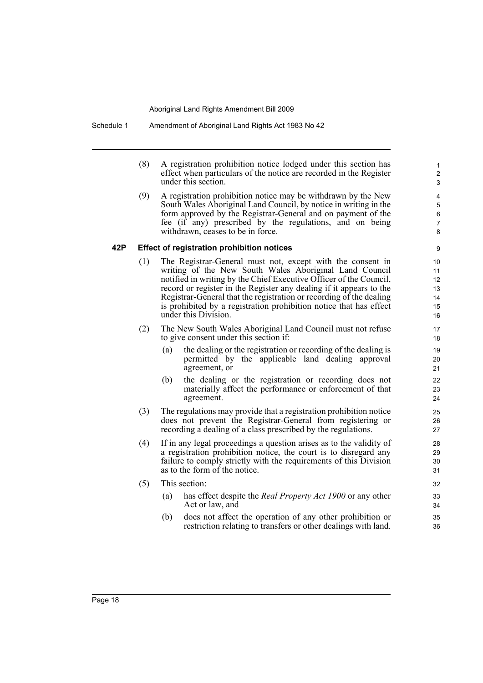(8) A registration prohibition notice lodged under this section has effect when particulars of the notice are recorded in the Register under this section.

(9) A registration prohibition notice may be withdrawn by the New South Wales Aboriginal Land Council, by notice in writing in the form approved by the Registrar-General and on payment of the fee (if any) prescribed by the regulations, and on being withdrawn, ceases to be in force.

#### **42P Effect of registration prohibition notices**

- (1) The Registrar-General must not, except with the consent in writing of the New South Wales Aboriginal Land Council notified in writing by the Chief Executive Officer of the Council, record or register in the Register any dealing if it appears to the Registrar-General that the registration or recording of the dealing is prohibited by a registration prohibition notice that has effect under this Division.
- (2) The New South Wales Aboriginal Land Council must not refuse to give consent under this section if:
	- (a) the dealing or the registration or recording of the dealing is permitted by the applicable land dealing approval agreement, or
	- (b) the dealing or the registration or recording does not materially affect the performance or enforcement of that agreement.
- (3) The regulations may provide that a registration prohibition notice does not prevent the Registrar-General from registering or recording a dealing of a class prescribed by the regulations.
- (4) If in any legal proceedings a question arises as to the validity of a registration prohibition notice, the court is to disregard any failure to comply strictly with the requirements of this Division as to the form of the notice.
- (5) This section:
	- (a) has effect despite the *Real Property Act 1900* or any other Act or law, and
	- (b) does not affect the operation of any other prohibition or restriction relating to transfers or other dealings with land.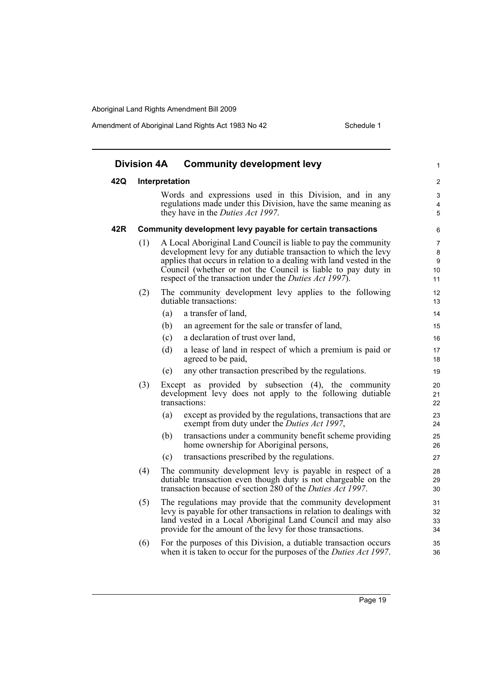Amendment of Aboriginal Land Rights Act 1983 No 42 Schedule 1

|     |     | <b>Division 4A</b><br><b>Community development levy</b>                                                                                                                                                                                                                                                                                     |                      |
|-----|-----|---------------------------------------------------------------------------------------------------------------------------------------------------------------------------------------------------------------------------------------------------------------------------------------------------------------------------------------------|----------------------|
| 42Q |     | Interpretation                                                                                                                                                                                                                                                                                                                              |                      |
|     |     | Words and expressions used in this Division, and in any<br>regulations made under this Division, have the same meaning as<br>they have in the <i>Duties Act 1997</i> .                                                                                                                                                                      | 4                    |
| 42R |     | Community development levy payable for certain transactions                                                                                                                                                                                                                                                                                 | 6                    |
|     | (1) | A Local Aboriginal Land Council is liable to pay the community<br>development levy for any dutiable transaction to which the levy<br>applies that occurs in relation to a dealing with land vested in the<br>Council (whether or not the Council is liable to pay duty in<br>respect of the transaction under the <i>Duties Act 1997</i> ). | 10<br>11             |
|     | (2) | The community development levy applies to the following<br>dutiable transactions:                                                                                                                                                                                                                                                           | 12<br>13             |
|     |     | a transfer of land,<br>(a)                                                                                                                                                                                                                                                                                                                  | 14                   |
|     |     | an agreement for the sale or transfer of land,<br>(b)                                                                                                                                                                                                                                                                                       | 15                   |
|     |     | a declaration of trust over land,<br>(c)                                                                                                                                                                                                                                                                                                    | 16                   |
|     |     | a lease of land in respect of which a premium is paid or<br>(d)<br>agreed to be paid,                                                                                                                                                                                                                                                       | 17<br>18             |
|     |     | any other transaction prescribed by the regulations.<br>(e)                                                                                                                                                                                                                                                                                 | 19                   |
|     | (3) | Except as provided by subsection (4), the community<br>development levy does not apply to the following dutiable<br>transactions:                                                                                                                                                                                                           | 20<br>21<br>22       |
|     |     | except as provided by the regulations, transactions that are<br>(a)<br>exempt from duty under the Duties Act 1997,                                                                                                                                                                                                                          | 23<br>24             |
|     |     | transactions under a community benefit scheme providing<br>(b)<br>home ownership for Aboriginal persons,                                                                                                                                                                                                                                    | 25<br>26             |
|     |     | transactions prescribed by the regulations.<br>(c)                                                                                                                                                                                                                                                                                          | 27                   |
|     | (4) | The community development levy is payable in respect of a<br>dutiable transaction even though duty is not chargeable on the<br>transaction because of section 280 of the Duties Act 1997.                                                                                                                                                   | 28<br>29<br>30       |
|     | (5) | The regulations may provide that the community development<br>levy is payable for other transactions in relation to dealings with<br>land vested in a Local Aboriginal Land Council and may also<br>provide for the amount of the levy for those transactions.                                                                              | 31<br>32<br>33<br>34 |
|     | (6) | For the purposes of this Division, a dutiable transaction occurs<br>when it is taken to occur for the purposes of the <i>Duties Act 1997</i> .                                                                                                                                                                                              | 35<br>36             |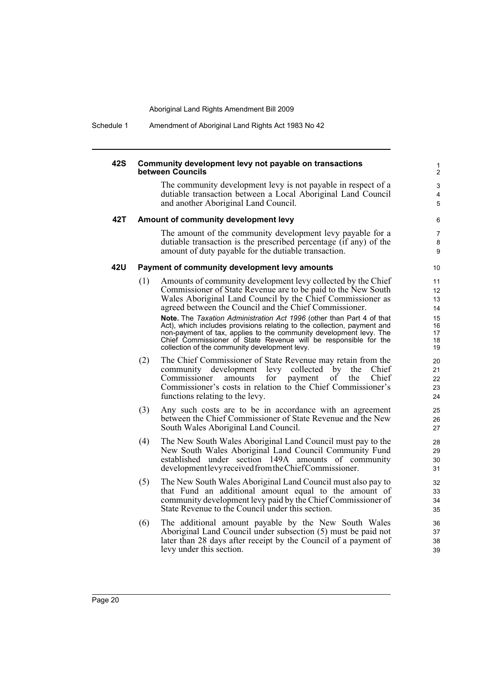Schedule 1 Amendment of Aboriginal Land Rights Act 1983 No 42

#### **42S Community development levy not payable on transactions between Councils**

The community development levy is not payable in respect of a dutiable transaction between a Local Aboriginal Land Council and another Aboriginal Land Council.

#### **42T Amount of community development levy**

The amount of the community development levy payable for a dutiable transaction is the prescribed percentage (if any) of the amount of duty payable for the dutiable transaction.

#### **42U Payment of community development levy amounts**

(1) Amounts of community development levy collected by the Chief Commissioner of State Revenue are to be paid to the New South Wales Aboriginal Land Council by the Chief Commissioner as agreed between the Council and the Chief Commissioner. **Note.** The *Taxation Administration Act 1996* (other than Part 4 of that Act), which includes provisions relating to the collection, payment and

non-payment of tax, applies to the community development levy. The Chief Commissioner of State Revenue will be responsible for the collection of the community development levy.

- (2) The Chief Commissioner of State Revenue may retain from the community development levy collected by the Chief Commissioner amounts for payment of the Chief Commissioner amounts for payment of the Chief Commissioner's costs in relation to the Chief Commissioner's functions relating to the levy.
- (3) Any such costs are to be in accordance with an agreement between the Chief Commissioner of State Revenue and the New South Wales Aboriginal Land Council.
- (4) The New South Wales Aboriginal Land Council must pay to the New South Wales Aboriginal Land Council Community Fund established under section 149A amounts of community development levy received from the Chief Commissioner.
- (5) The New South Wales Aboriginal Land Council must also pay to that Fund an additional amount equal to the amount of community development levy paid by the Chief Commissioner of State Revenue to the Council under this section.
- (6) The additional amount payable by the New South Wales Aboriginal Land Council under subsection (5) must be paid not later than 28 days after receipt by the Council of a payment of levy under this section.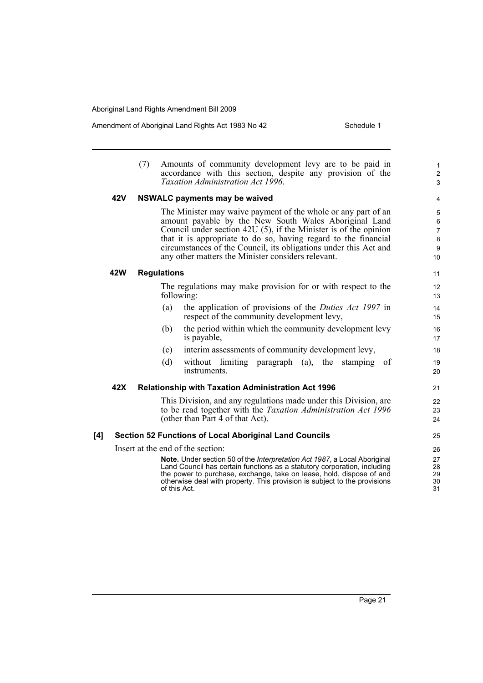Amendment of Aboriginal Land Rights Act 1983 No 42 Schedule 1

|     |     | (7) |                    | Amounts of community development levy are to be paid in<br>accordance with this section, despite any provision of the<br>Taxation Administration Act 1996.                                                                                                                                                                                                                                | $\mathbf{1}$<br>$\overline{2}$<br>3                   |
|-----|-----|-----|--------------------|-------------------------------------------------------------------------------------------------------------------------------------------------------------------------------------------------------------------------------------------------------------------------------------------------------------------------------------------------------------------------------------------|-------------------------------------------------------|
|     | 42V |     |                    | <b>NSWALC</b> payments may be waived                                                                                                                                                                                                                                                                                                                                                      | 4                                                     |
|     |     |     |                    | The Minister may waive payment of the whole or any part of an<br>amount payable by the New South Wales Aboriginal Land<br>Council under section $42U(5)$ , if the Minister is of the opinion<br>that it is appropriate to do so, having regard to the financial<br>circumstances of the Council, its obligations under this Act and<br>any other matters the Minister considers relevant. | 5<br>6<br>$\overline{7}$<br>8<br>9<br>10 <sup>°</sup> |
|     | 42W |     | <b>Regulations</b> |                                                                                                                                                                                                                                                                                                                                                                                           | 11                                                    |
|     |     |     |                    | The regulations may make provision for or with respect to the<br>following:                                                                                                                                                                                                                                                                                                               | 12 <sup>2</sup><br>13                                 |
|     |     |     | (a)                | the application of provisions of the <i>Duties Act 1997</i> in<br>respect of the community development levy,                                                                                                                                                                                                                                                                              | 14<br>15                                              |
|     |     |     | (b)                | the period within which the community development levy<br>is payable,                                                                                                                                                                                                                                                                                                                     | 16<br>17                                              |
|     |     |     | (c)                | interim assessments of community development levy,                                                                                                                                                                                                                                                                                                                                        | 18                                                    |
|     |     |     | (d)                | without limiting paragraph (a), the<br>stamping<br>of<br>instruments.                                                                                                                                                                                                                                                                                                                     | 19<br>20                                              |
|     | 42X |     |                    | <b>Relationship with Taxation Administration Act 1996</b>                                                                                                                                                                                                                                                                                                                                 | 21                                                    |
|     |     |     |                    | This Division, and any regulations made under this Division, are<br>to be read together with the Taxation Administration Act 1996<br>(other than Part 4 of that Act).                                                                                                                                                                                                                     | 22<br>23<br>24                                        |
| [4] |     |     |                    | <b>Section 52 Functions of Local Aboriginal Land Councils</b>                                                                                                                                                                                                                                                                                                                             | 25                                                    |
|     |     |     |                    | Insert at the end of the section:                                                                                                                                                                                                                                                                                                                                                         | 26                                                    |
|     |     |     | of this Act.       | Note. Under section 50 of the Interpretation Act 1987, a Local Aboriginal<br>Land Council has certain functions as a statutory corporation, including<br>the power to purchase, exchange, take on lease, hold, dispose of and<br>otherwise deal with property. This provision is subject to the provisions                                                                                | 27<br>28<br>29<br>30<br>31                            |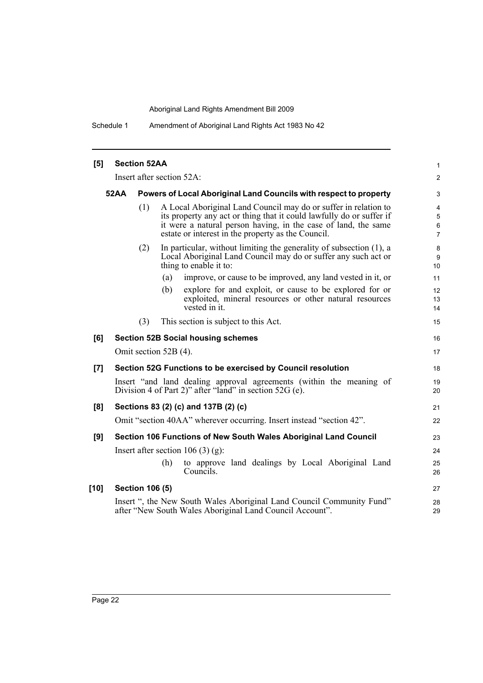Schedule 1 Amendment of Aboriginal Land Rights Act 1983 No 42

| [5]    |             | <b>Section 52AA</b>    |                                                                                                                                                                                                                                                                 | $\mathbf{1}$                                              |
|--------|-------------|------------------------|-----------------------------------------------------------------------------------------------------------------------------------------------------------------------------------------------------------------------------------------------------------------|-----------------------------------------------------------|
|        |             |                        | Insert after section 52A:                                                                                                                                                                                                                                       | 2                                                         |
|        | <b>52AA</b> |                        | Powers of Local Aboriginal Land Councils with respect to property                                                                                                                                                                                               | 3                                                         |
|        |             | (1)                    | A Local Aboriginal Land Council may do or suffer in relation to<br>its property any act or thing that it could lawfully do or suffer if<br>it were a natural person having, in the case of land, the same<br>estate or interest in the property as the Council. | $\overline{4}$<br>$\sqrt{5}$<br>$\,6\,$<br>$\overline{7}$ |
|        |             | (2)                    | In particular, without limiting the generality of subsection (1), a<br>Local Aboriginal Land Council may do or suffer any such act or<br>thing to enable it to:                                                                                                 | 8<br>9<br>10                                              |
|        |             |                        | improve, or cause to be improved, any land vested in it, or<br>(a)                                                                                                                                                                                              | 11                                                        |
|        |             |                        | explore for and exploit, or cause to be explored for or<br>(b)<br>exploited, mineral resources or other natural resources<br>vested in it.                                                                                                                      | 12<br>13<br>14                                            |
|        |             | (3)                    | This section is subject to this Act.                                                                                                                                                                                                                            | 15                                                        |
| [6]    |             |                        | <b>Section 52B Social housing schemes</b>                                                                                                                                                                                                                       | 16                                                        |
|        |             |                        | Omit section 52B (4).                                                                                                                                                                                                                                           | 17                                                        |
| [7]    |             |                        | Section 52G Functions to be exercised by Council resolution                                                                                                                                                                                                     | 18                                                        |
|        |             |                        | Insert "and land dealing approval agreements (within the meaning of<br>Division 4 of Part 2)" after "land" in section $52G$ (e).                                                                                                                                | 19<br>20                                                  |
| [8]    |             |                        | Sections 83 (2) (c) and 137B (2) (c)                                                                                                                                                                                                                            | 21                                                        |
|        |             |                        | Omit "section 40AA" wherever occurring. Insert instead "section 42".                                                                                                                                                                                            | 22                                                        |
| [9]    |             |                        | Section 106 Functions of New South Wales Aboriginal Land Council                                                                                                                                                                                                | 23                                                        |
|        |             |                        | Insert after section 106 $(3)$ (g):                                                                                                                                                                                                                             | 24                                                        |
|        |             |                        | to approve land dealings by Local Aboriginal Land<br>(h)<br>Councils.                                                                                                                                                                                           | 25<br>26                                                  |
| $[10]$ |             | <b>Section 106 (5)</b> |                                                                                                                                                                                                                                                                 | 27                                                        |
|        |             |                        | Insert ", the New South Wales Aboriginal Land Council Community Fund"<br>after "New South Wales Aboriginal Land Council Account".                                                                                                                               | 28<br>29                                                  |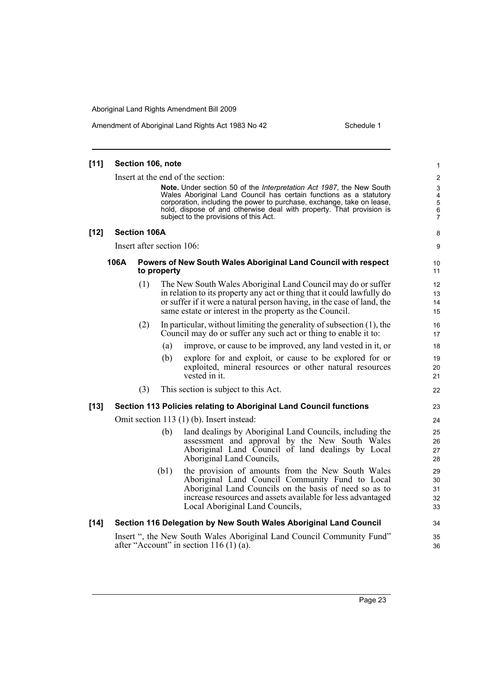Amendment of Aboriginal Land Rights Act 1983 No 42 Schedule 1

| $[11]$ |      | Section 106, note         |             |                                                                                                                                                                                                                                                                                                                                        | 1                                |
|--------|------|---------------------------|-------------|----------------------------------------------------------------------------------------------------------------------------------------------------------------------------------------------------------------------------------------------------------------------------------------------------------------------------------------|----------------------------------|
|        |      |                           |             | Insert at the end of the section:                                                                                                                                                                                                                                                                                                      | $\overline{\mathbf{c}}$          |
|        |      |                           |             | Note. Under section 50 of the Interpretation Act 1987, the New South<br>Wales Aboriginal Land Council has certain functions as a statutory<br>corporation, including the power to purchase, exchange, take on lease,<br>hold, dispose of and otherwise deal with property. That provision is<br>subject to the provisions of this Act. | 3<br>4<br>5<br>6<br>7            |
| $[12]$ |      | <b>Section 106A</b>       |             |                                                                                                                                                                                                                                                                                                                                        | 8                                |
|        |      | Insert after section 106: |             |                                                                                                                                                                                                                                                                                                                                        | 9                                |
|        | 106A |                           | to property | Powers of New South Wales Aboriginal Land Council with respect                                                                                                                                                                                                                                                                         | 10<br>11                         |
|        |      | (1)                       |             | The New South Wales Aboriginal Land Council may do or suffer<br>in relation to its property any act or thing that it could lawfully do<br>or suffer if it were a natural person having, in the case of land, the<br>same estate or interest in the property as the Council.                                                            | 12<br>13<br>14<br>15             |
|        |      | (2)                       |             | In particular, without limiting the generality of subsection $(1)$ , the<br>Council may do or suffer any such act or thing to enable it to:                                                                                                                                                                                            | 16<br>17                         |
|        |      |                           | (a)         | improve, or cause to be improved, any land vested in it, or                                                                                                                                                                                                                                                                            | 18                               |
|        |      |                           | (b)         | explore for and exploit, or cause to be explored for or<br>exploited, mineral resources or other natural resources<br>vested in it.                                                                                                                                                                                                    | 19<br>20<br>21                   |
|        |      | (3)                       |             | This section is subject to this Act.                                                                                                                                                                                                                                                                                                   | 22                               |
| $[13]$ |      |                           |             | Section 113 Policies relating to Aboriginal Land Council functions                                                                                                                                                                                                                                                                     | 23                               |
|        |      |                           |             | Omit section 113 (1) (b). Insert instead:                                                                                                                                                                                                                                                                                              | 24                               |
|        |      |                           | (b)         | land dealings by Aboriginal Land Councils, including the<br>assessment and approval by the New South Wales<br>Aboriginal Land Council of land dealings by Local<br>Aboriginal Land Councils,                                                                                                                                           | 25<br>26<br>27                   |
|        |      |                           | (b1)        | the provision of amounts from the New South Wales<br>Aboriginal Land Council Community Fund to Local<br>Aboriginal Land Councils on the basis of need so as to<br>increase resources and assets available for less advantaged<br>Local Aboriginal Land Councils,                                                                       | 28<br>29<br>30<br>31<br>32<br>33 |
| $[14]$ |      |                           |             | Section 116 Delegation by New South Wales Aboriginal Land Council                                                                                                                                                                                                                                                                      | 34                               |
|        |      |                           |             | Insert ", the New South Wales Aboriginal Land Council Community Fund"<br>after "Account" in section $116(1)$ (a).                                                                                                                                                                                                                      | 35<br>36                         |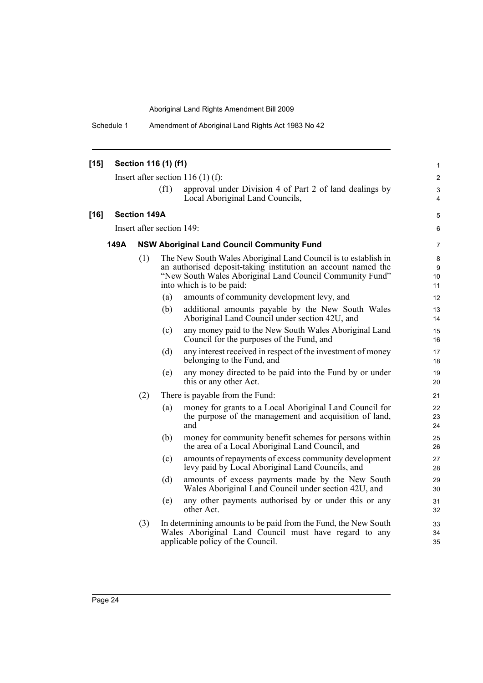Schedule 1 Amendment of Aboriginal Land Rights Act 1983 No 42

| $[15]$ |      |                     | Section 116 (1) (f1)      |                                                                                                                                                                                                                          | $\mathbf{1}$             |
|--------|------|---------------------|---------------------------|--------------------------------------------------------------------------------------------------------------------------------------------------------------------------------------------------------------------------|--------------------------|
|        |      |                     |                           | Insert after section $116(1)$ (f):                                                                                                                                                                                       | $\overline{2}$           |
|        |      |                     | (f1)                      | approval under Division 4 of Part 2 of land dealings by<br>Local Aboriginal Land Councils,                                                                                                                               | 3<br>4                   |
| $[16]$ |      | <b>Section 149A</b> |                           |                                                                                                                                                                                                                          | 5                        |
|        |      |                     | Insert after section 149: |                                                                                                                                                                                                                          | 6                        |
|        | 149A |                     |                           | <b>NSW Aboriginal Land Council Community Fund</b>                                                                                                                                                                        | $\overline{7}$           |
|        |      | (1)                 |                           | The New South Wales Aboriginal Land Council is to establish in<br>an authorised deposit-taking institution an account named the<br>"New South Wales Aboriginal Land Council Community Fund"<br>into which is to be paid: | $\bf 8$<br>9<br>10<br>11 |
|        |      |                     | (a)                       | amounts of community development levy, and                                                                                                                                                                               | 12                       |
|        |      |                     | (b)                       | additional amounts payable by the New South Wales<br>Aboriginal Land Council under section 42U, and                                                                                                                      | 13<br>14                 |
|        |      |                     | (c)                       | any money paid to the New South Wales Aboriginal Land<br>Council for the purposes of the Fund, and                                                                                                                       | 15<br>16                 |
|        |      |                     | (d)                       | any interest received in respect of the investment of money<br>belonging to the Fund, and                                                                                                                                | 17<br>18                 |
|        |      |                     | (e)                       | any money directed to be paid into the Fund by or under<br>this or any other Act.                                                                                                                                        | 19<br>20                 |
|        |      | (2)                 |                           | There is payable from the Fund:                                                                                                                                                                                          | 21                       |
|        |      |                     | (a)                       | money for grants to a Local Aboriginal Land Council for<br>the purpose of the management and acquisition of land,<br>and                                                                                                 | 22<br>23<br>24           |
|        |      |                     | (b)                       | money for community benefit schemes for persons within<br>the area of a Local Aboriginal Land Council, and                                                                                                               | 25<br>26                 |
|        |      |                     | (c)                       | amounts of repayments of excess community development<br>levy paid by Local Aboriginal Land Councils, and                                                                                                                | 27<br>28                 |
|        |      |                     | (d)                       | amounts of excess payments made by the New South<br>Wales Aboriginal Land Council under section 42U, and                                                                                                                 | 29<br>30                 |
|        |      |                     | (e)                       | any other payments authorised by or under this or any<br>other Act.                                                                                                                                                      | 31<br>32                 |
|        |      | (3)                 |                           | In determining amounts to be paid from the Fund, the New South<br>Wales Aboriginal Land Council must have regard to any<br>applicable policy of the Council.                                                             | 33<br>34<br>35           |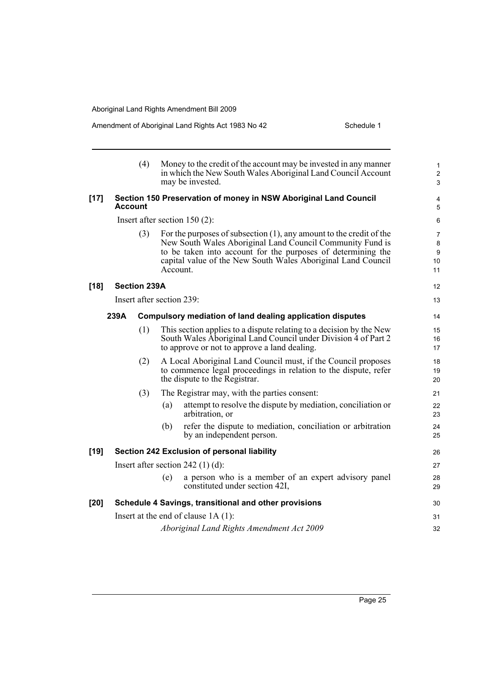Amendment of Aboriginal Land Rights Act 1983 No 42

| Schedule 1 |  |
|------------|--|

|        |                | (4)                 |          | Money to the credit of the account may be invested in any manner<br>in which the New South Wales Aboriginal Land Council Account<br>may be invested.                                                                                                                | 1<br>$\overline{2}$<br>3 |
|--------|----------------|---------------------|----------|---------------------------------------------------------------------------------------------------------------------------------------------------------------------------------------------------------------------------------------------------------------------|--------------------------|
| $[17]$ | <b>Account</b> |                     |          | Section 150 Preservation of money in NSW Aboriginal Land Council                                                                                                                                                                                                    | 4<br>5                   |
|        |                |                     |          | Insert after section $150(2)$ :                                                                                                                                                                                                                                     | 6                        |
|        |                | (3)                 | Account. | For the purposes of subsection $(1)$ , any amount to the credit of the<br>New South Wales Aboriginal Land Council Community Fund is<br>to be taken into account for the purposes of determining the<br>capital value of the New South Wales Aboriginal Land Council | 7<br>8<br>9<br>10<br>11  |
| $[18]$ |                | <b>Section 239A</b> |          |                                                                                                                                                                                                                                                                     | 12                       |
|        |                |                     |          | Insert after section 239:                                                                                                                                                                                                                                           | 13                       |
|        | 239A           |                     |          | Compulsory mediation of land dealing application disputes                                                                                                                                                                                                           | 14                       |
|        |                | (1)                 |          | This section applies to a dispute relating to a decision by the New<br>South Wales Aboriginal Land Council under Division 4 of Part 2<br>to approve or not to approve a land dealing.                                                                               | 15<br>16<br>17           |
|        |                | (2)                 |          | A Local Aboriginal Land Council must, if the Council proposes<br>to commence legal proceedings in relation to the dispute, refer<br>the dispute to the Registrar.                                                                                                   | 18<br>19<br>20           |
|        |                | (3)                 |          | The Registrar may, with the parties consent:                                                                                                                                                                                                                        | 21                       |
|        |                |                     | (a)      | attempt to resolve the dispute by mediation, conciliation or<br>arbitration, or                                                                                                                                                                                     | 22<br>23                 |
|        |                |                     | (b)      | refer the dispute to mediation, conciliation or arbitration<br>by an independent person.                                                                                                                                                                            | 24<br>25                 |
| $[19]$ |                |                     |          | Section 242 Exclusion of personal liability                                                                                                                                                                                                                         | 26                       |
|        |                |                     |          | Insert after section 242 $(1)$ (d):                                                                                                                                                                                                                                 | 27                       |
|        |                |                     | (e)      | a person who is a member of an expert advisory panel<br>constituted under section 42I,                                                                                                                                                                              | 28<br>29                 |
| $[20]$ |                |                     |          | Schedule 4 Savings, transitional and other provisions                                                                                                                                                                                                               | 30                       |
|        |                |                     |          | Insert at the end of clause $1A(1)$ :                                                                                                                                                                                                                               | 31                       |
|        |                |                     |          | Aboriginal Land Rights Amendment Act 2009                                                                                                                                                                                                                           | 32                       |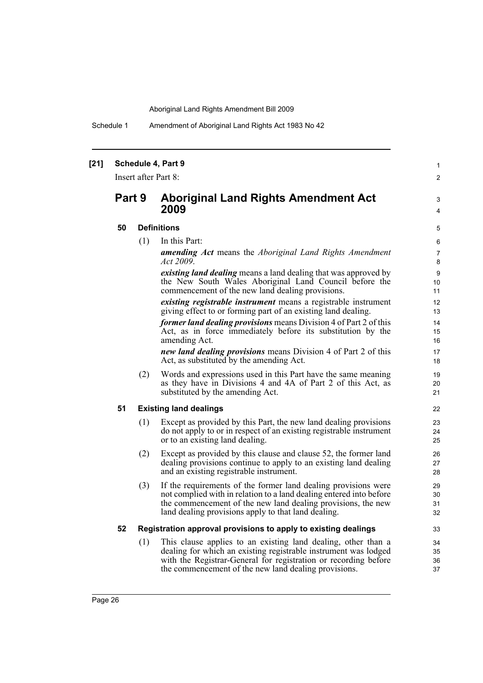Schedule 1 Amendment of Aboriginal Land Rights Act 1983 No 42

| $[21]$ | Schedule 4, Part 9 |  |  |
|--------|--------------------|--|--|
|--------|--------------------|--|--|

Insert after Part 8:

### **Part 9 Aboriginal Land Rights Amendment Act 2009**

**50 Definitions**

(1) In this Part:

*amending Act* means the *Aboriginal Land Rights Amendment Act 2009*.

1  $\mathfrak{p}$ 

3 4

*existing land dealing* means a land dealing that was approved by the New South Wales Aboriginal Land Council before the commencement of the new land dealing provisions.

*existing registrable instrument* means a registrable instrument giving effect to or forming part of an existing land dealing.

*former land dealing provisions* means Division 4 of Part 2 of this Act, as in force immediately before its substitution by the amending Act.

*new land dealing provisions* means Division 4 of Part 2 of this Act, as substituted by the amending Act.

(2) Words and expressions used in this Part have the same meaning as they have in Divisions 4 and 4A of Part 2 of this Act, as substituted by the amending Act.

#### **51 Existing land dealings**

- (1) Except as provided by this Part, the new land dealing provisions do not apply to or in respect of an existing registrable instrument or to an existing land dealing.
- (2) Except as provided by this clause and clause 52, the former land dealing provisions continue to apply to an existing land dealing and an existing registrable instrument.
- (3) If the requirements of the former land dealing provisions were not complied with in relation to a land dealing entered into before the commencement of the new land dealing provisions, the new land dealing provisions apply to that land dealing.

#### **52 Registration approval provisions to apply to existing dealings**

(1) This clause applies to an existing land dealing, other than a dealing for which an existing registrable instrument was lodged with the Registrar-General for registration or recording before the commencement of the new land dealing provisions.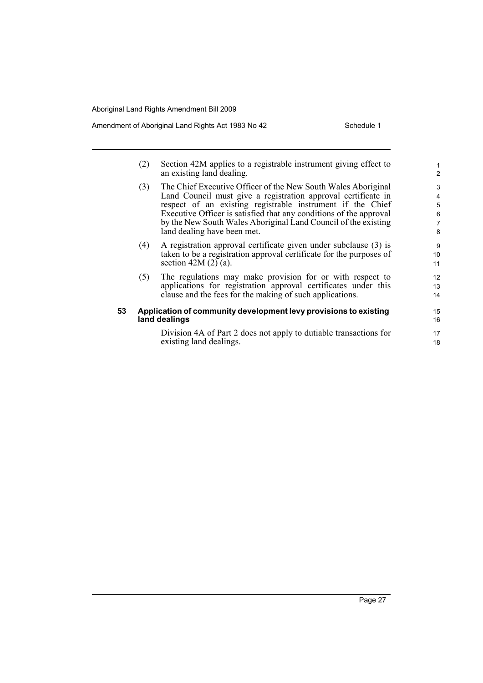#### Amendment of Aboriginal Land Rights Act 1983 No 42 Schedule 1

- (2) Section 42M applies to a registrable instrument giving effect to an existing land dealing.
- (3) The Chief Executive Officer of the New South Wales Aboriginal Land Council must give a registration approval certificate in respect of an existing registrable instrument if the Chief Executive Officer is satisfied that any conditions of the approval by the New South Wales Aboriginal Land Council of the existing land dealing have been met.
- (4) A registration approval certificate given under subclause (3) is taken to be a registration approval certificate for the purposes of section  $42M(2)(a)$ .
- (5) The regulations may make provision for or with respect to applications for registration approval certificates under this clause and the fees for the making of such applications.

#### **53 Application of community development levy provisions to existing land dealings**

Division 4A of Part 2 does not apply to dutiable transactions for existing land dealings.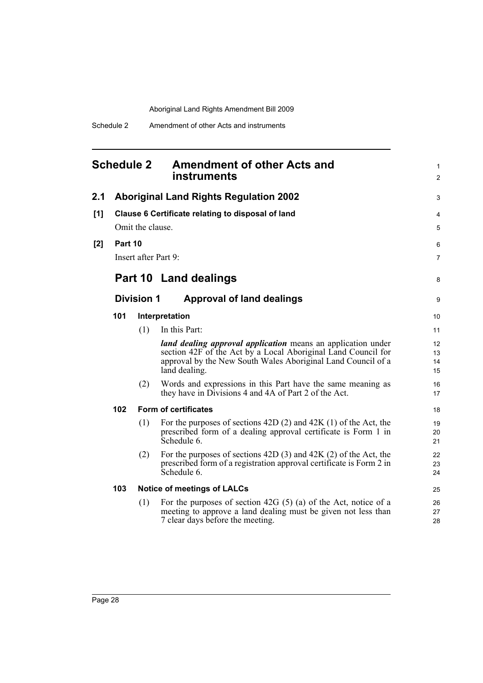<span id="page-37-0"></span>

| <b>Schedule 2</b> |         |                   | <b>Amendment of other Acts and</b><br>instruments                                                                                                                                                                     | 1<br>$\overline{2}$  |
|-------------------|---------|-------------------|-----------------------------------------------------------------------------------------------------------------------------------------------------------------------------------------------------------------------|----------------------|
| 2.1               |         |                   | <b>Aboriginal Land Rights Regulation 2002</b>                                                                                                                                                                         | 3                    |
| [1]               |         |                   | Clause 6 Certificate relating to disposal of land                                                                                                                                                                     | 4                    |
|                   |         | Omit the clause.  |                                                                                                                                                                                                                       | 5                    |
| [2]               | Part 10 |                   |                                                                                                                                                                                                                       | 6                    |
|                   |         |                   | Insert after Part 9:                                                                                                                                                                                                  | 7                    |
|                   |         |                   | Part 10 Land dealings                                                                                                                                                                                                 | 8                    |
|                   |         | <b>Division 1</b> | <b>Approval of land dealings</b>                                                                                                                                                                                      | 9                    |
|                   | 101     |                   | Interpretation                                                                                                                                                                                                        | 10                   |
|                   |         | (1)               | In this Part:                                                                                                                                                                                                         | 11                   |
|                   |         |                   | <i>land dealing approval application</i> means an application under<br>section 42F of the Act by a Local Aboriginal Land Council for<br>approval by the New South Wales Aboriginal Land Council of a<br>land dealing. | 12<br>13<br>14<br>15 |
|                   |         | (2)               | Words and expressions in this Part have the same meaning as<br>they have in Divisions 4 and 4A of Part 2 of the Act.                                                                                                  | 16<br>17             |
|                   | 102     |                   | Form of certificates                                                                                                                                                                                                  | 18                   |
|                   |         | (1)               | For the purposes of sections $42D(2)$ and $42K(1)$ of the Act, the<br>prescribed form of a dealing approval certificate is Form 1 in<br>Schedule 6.                                                                   | 19<br>20<br>21       |
|                   |         | (2)               | For the purposes of sections $42D(3)$ and $42K(2)$ of the Act, the<br>prescribed form of a registration approval certificate is Form 2 in<br>Schedule 6.                                                              | 22<br>23<br>24       |
|                   | 103     |                   | <b>Notice of meetings of LALCs</b>                                                                                                                                                                                    | 25                   |
|                   |         | (1)               | For the purposes of section 42G $(5)$ (a) of the Act, notice of a<br>meeting to approve a land dealing must be given not less than<br>7 clear days before the meeting.                                                | 26<br>27<br>28       |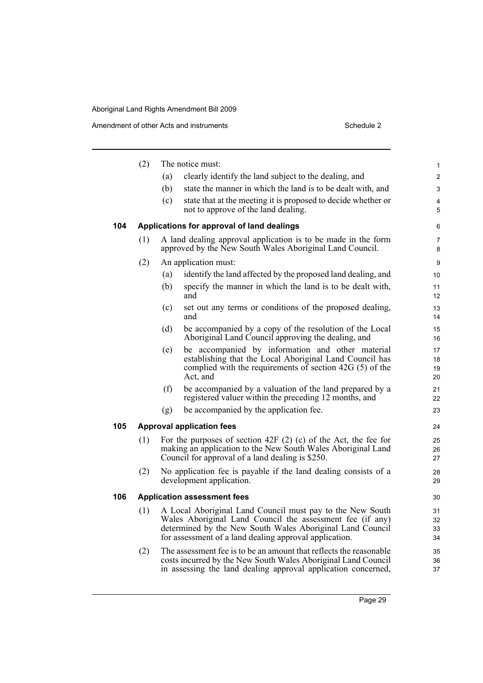|     | (2) |     | The notice must:                                                                                                                                                                                                                              | 1                    |
|-----|-----|-----|-----------------------------------------------------------------------------------------------------------------------------------------------------------------------------------------------------------------------------------------------|----------------------|
|     |     | (a) | clearly identify the land subject to the dealing, and                                                                                                                                                                                         | $\overline{2}$       |
|     |     | (b) | state the manner in which the land is to be dealt with, and                                                                                                                                                                                   | 3                    |
|     |     | (c) | state that at the meeting it is proposed to decide whether or<br>not to approve of the land dealing.                                                                                                                                          | $\overline{4}$<br>5  |
| 104 |     |     | Applications for approval of land dealings                                                                                                                                                                                                    | 6                    |
|     | (1) |     | A land dealing approval application is to be made in the form<br>approved by the New South Wales Aboriginal Land Council.                                                                                                                     | $\overline{7}$<br>8  |
|     | (2) |     | An application must:                                                                                                                                                                                                                          | 9                    |
|     |     | (a) | identify the land affected by the proposed land dealing, and                                                                                                                                                                                  | 10                   |
|     |     | (b) | specify the manner in which the land is to be dealt with,<br>and                                                                                                                                                                              | 11<br>12             |
|     |     | (c) | set out any terms or conditions of the proposed dealing,<br>and                                                                                                                                                                               | 13<br>14             |
|     |     | (d) | be accompanied by a copy of the resolution of the Local<br>Aboriginal Land Council approving the dealing, and                                                                                                                                 | 15<br>16             |
|     |     | (e) | be accompanied by information and other material<br>establishing that the Local Aboriginal Land Council has<br>complied with the requirements of section $42G(5)$ of the<br>Act, and                                                          | 17<br>18<br>19<br>20 |
|     |     | (f) | be accompanied by a valuation of the land prepared by a<br>registered valuer within the preceding 12 months, and                                                                                                                              | 21<br>22             |
|     |     | (g) | be accompanied by the application fee.                                                                                                                                                                                                        | 23                   |
| 105 |     |     | <b>Approval application fees</b>                                                                                                                                                                                                              | 24                   |
|     | (1) |     | For the purposes of section 42F $(2)$ $(c)$ of the Act, the fee for<br>making an application to the New South Wales Aboriginal Land<br>Council for approval of a land dealing is \$250.                                                       | 25<br>26<br>27       |
|     | (2) |     | No application fee is payable if the land dealing consists of a<br>development application.                                                                                                                                                   | 28<br>29             |
| 106 |     |     | <b>Application assessment fees</b>                                                                                                                                                                                                            | 30                   |
|     | (1) |     | A Local Aboriginal Land Council must pay to the New South<br>Wales Aboriginal Land Council the assessment fee (if any)<br>determined by the New South Wales Aboriginal Land Council<br>for assessment of a land dealing approval application. | 31<br>32<br>33<br>34 |
|     | (2) |     | The assessment fee is to be an amount that reflects the reasonable<br>costs incurred by the New South Wales Aboriginal Land Council<br>in assessing the land dealing approval application concerned,                                          | 35<br>36<br>37       |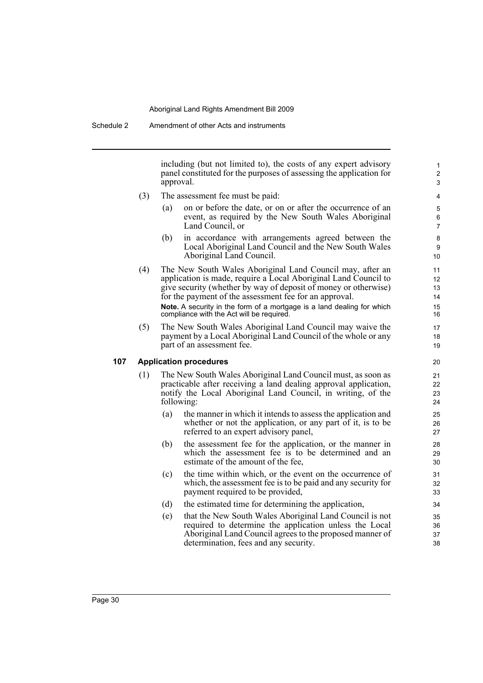including (but not limited to), the costs of any expert advisory panel constituted for the purposes of assessing the application for approval.

- (3) The assessment fee must be paid:
	- (a) on or before the date, or on or after the occurrence of an event, as required by the New South Wales Aboriginal Land Council, or
	- (b) in accordance with arrangements agreed between the Local Aboriginal Land Council and the New South Wales Aboriginal Land Council.
- (4) The New South Wales Aboriginal Land Council may, after an application is made, require a Local Aboriginal Land Council to give security (whether by way of deposit of money or otherwise) for the payment of the assessment fee for an approval. **Note.** A security in the form of a mortgage is a land dealing for which compliance with the Act will be required.
- (5) The New South Wales Aboriginal Land Council may waive the payment by a Local Aboriginal Land Council of the whole or any part of an assessment fee.

#### **107 Application procedures**

- (1) The New South Wales Aboriginal Land Council must, as soon as practicable after receiving a land dealing approval application, notify the Local Aboriginal Land Council, in writing, of the following:
	- (a) the manner in which it intends to assess the application and whether or not the application, or any part of it, is to be referred to an expert advisory panel,
	- (b) the assessment fee for the application, or the manner in which the assessment fee is to be determined and an estimate of the amount of the fee,
	- (c) the time within which, or the event on the occurrence of which, the assessment fee is to be paid and any security for payment required to be provided,
	- (d) the estimated time for determining the application,
	- (e) that the New South Wales Aboriginal Land Council is not required to determine the application unless the Local Aboriginal Land Council agrees to the proposed manner of determination, fees and any security.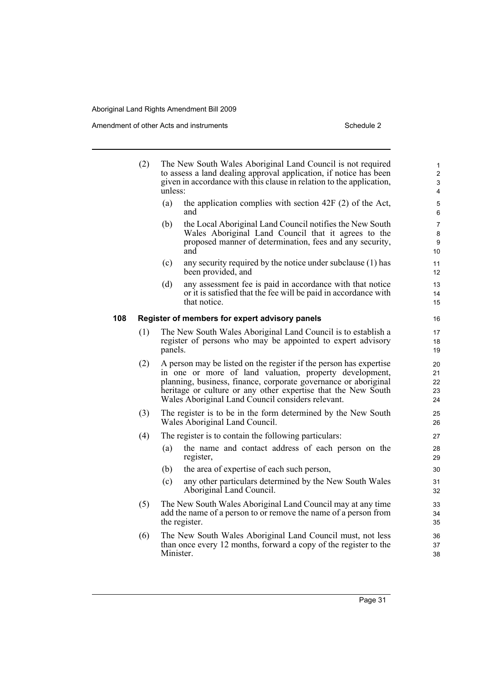Amendment of other Acts and instruments Schedule 2

|     | (2) | The New South Wales Aboriginal Land Council is not required<br>to assess a land dealing approval application, if notice has been<br>given in accordance with this clause in relation to the application,<br>unless: |                                                                                                                                                                                                                                                                                                                        | $\mathbf{1}$<br>$\boldsymbol{2}$<br>3<br>4 |
|-----|-----|---------------------------------------------------------------------------------------------------------------------------------------------------------------------------------------------------------------------|------------------------------------------------------------------------------------------------------------------------------------------------------------------------------------------------------------------------------------------------------------------------------------------------------------------------|--------------------------------------------|
|     |     | (a)                                                                                                                                                                                                                 | the application complies with section 42F $(2)$ of the Act,<br>and                                                                                                                                                                                                                                                     | 5<br>6                                     |
|     |     | (b)                                                                                                                                                                                                                 | the Local Aboriginal Land Council notifies the New South<br>Wales Aboriginal Land Council that it agrees to the<br>proposed manner of determination, fees and any security,<br>and                                                                                                                                     | $\overline{7}$<br>8<br>9<br>10             |
|     |     | (c)                                                                                                                                                                                                                 | any security required by the notice under subclause (1) has<br>been provided, and                                                                                                                                                                                                                                      | 11<br>12                                   |
|     |     | (d)                                                                                                                                                                                                                 | any assessment fee is paid in accordance with that notice<br>or it is satisfied that the fee will be paid in accordance with<br>that notice.                                                                                                                                                                           | 13<br>14<br>15                             |
| 108 |     |                                                                                                                                                                                                                     | Register of members for expert advisory panels                                                                                                                                                                                                                                                                         | 16                                         |
|     | (1) | The New South Wales Aboriginal Land Council is to establish a<br>register of persons who may be appointed to expert advisory<br>panels.                                                                             |                                                                                                                                                                                                                                                                                                                        | 17<br>18<br>19                             |
|     | (2) |                                                                                                                                                                                                                     | A person may be listed on the register if the person has expertise<br>in one or more of land valuation, property development,<br>planning, business, finance, corporate governance or aboriginal<br>heritage or culture or any other expertise that the New South<br>Wales Aboriginal Land Council considers relevant. | 20<br>21<br>22<br>23<br>24                 |
|     | (3) |                                                                                                                                                                                                                     | The register is to be in the form determined by the New South<br>Wales Aboriginal Land Council.                                                                                                                                                                                                                        | 25<br>26                                   |
|     | (4) |                                                                                                                                                                                                                     | The register is to contain the following particulars:                                                                                                                                                                                                                                                                  | 27                                         |
|     |     | (a)                                                                                                                                                                                                                 | the name and contact address of each person on the<br>register,                                                                                                                                                                                                                                                        | 28<br>29                                   |
|     |     | (b)                                                                                                                                                                                                                 | the area of expertise of each such person,                                                                                                                                                                                                                                                                             | 30                                         |
|     |     | (c)                                                                                                                                                                                                                 | any other particulars determined by the New South Wales<br>Aboriginal Land Council.                                                                                                                                                                                                                                    | 31<br>32                                   |
|     | (5) |                                                                                                                                                                                                                     | The New South Wales Aboriginal Land Council may at any time<br>add the name of a person to or remove the name of a person from<br>the register.                                                                                                                                                                        | 33<br>34<br>35                             |
|     | (6) | Minister.                                                                                                                                                                                                           | The New South Wales Aboriginal Land Council must, not less<br>than once every 12 months, forward a copy of the register to the                                                                                                                                                                                         | 36<br>37<br>38                             |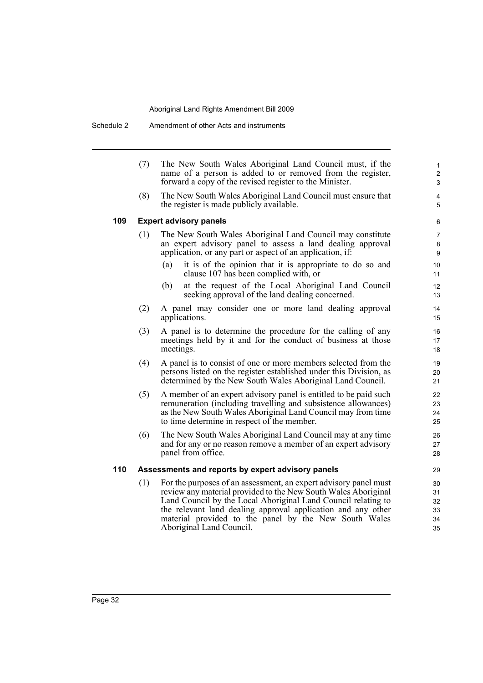(7) The New South Wales Aboriginal Land Council must, if the name of a person is added to or removed from the register, forward a copy of the revised register to the Minister.

(8) The New South Wales Aboriginal Land Council must ensure that the register is made publicly available.

#### **109 Expert advisory panels**

- (1) The New South Wales Aboriginal Land Council may constitute an expert advisory panel to assess a land dealing approval application, or any part or aspect of an application, if:
	- (a) it is of the opinion that it is appropriate to do so and clause 107 has been complied with, or
	- (b) at the request of the Local Aboriginal Land Council seeking approval of the land dealing concerned.
- (2) A panel may consider one or more land dealing approval applications.
- (3) A panel is to determine the procedure for the calling of any meetings held by it and for the conduct of business at those meetings.
- (4) A panel is to consist of one or more members selected from the persons listed on the register established under this Division, as determined by the New South Wales Aboriginal Land Council.
- (5) A member of an expert advisory panel is entitled to be paid such remuneration (including travelling and subsistence allowances) as the New South Wales Aboriginal Land Council may from time to time determine in respect of the member.
- (6) The New South Wales Aboriginal Land Council may at any time and for any or no reason remove a member of an expert advisory panel from office.

#### **110 Assessments and reports by expert advisory panels**

(1) For the purposes of an assessment, an expert advisory panel must review any material provided to the New South Wales Aboriginal Land Council by the Local Aboriginal Land Council relating to the relevant land dealing approval application and any other material provided to the panel by the New South Wales Aboriginal Land Council.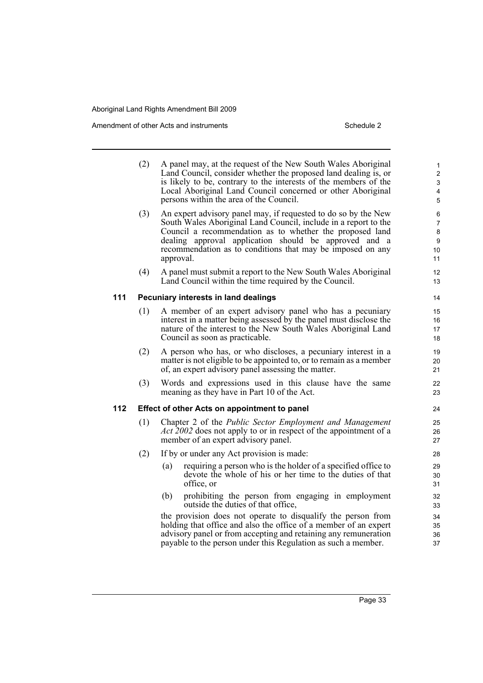Amendment of other Acts and instruments Schedule 2

|     | (2)                                  | A panel may, at the request of the New South Wales Aboriginal<br>Land Council, consider whether the proposed land dealing is, or<br>is likely to be, contrary to the interests of the members of the<br>Local Aboriginal Land Council concerned or other Aboriginal<br>persons within the area of the Council.                    | 1<br>$\overline{c}$<br>3<br>4<br>5        |  |
|-----|--------------------------------------|-----------------------------------------------------------------------------------------------------------------------------------------------------------------------------------------------------------------------------------------------------------------------------------------------------------------------------------|-------------------------------------------|--|
|     | (3)                                  | An expert advisory panel may, if requested to do so by the New<br>South Wales Aboriginal Land Council, include in a report to the<br>Council a recommendation as to whether the proposed land<br>dealing approval application should be approved and a<br>recommendation as to conditions that may be imposed on any<br>approval. | 6<br>$\overline{7}$<br>8<br>9<br>10<br>11 |  |
|     | (4)                                  | A panel must submit a report to the New South Wales Aboriginal<br>Land Council within the time required by the Council.                                                                                                                                                                                                           | 12<br>13                                  |  |
| 111 | Pecuniary interests in land dealings |                                                                                                                                                                                                                                                                                                                                   |                                           |  |
|     | (1)                                  | A member of an expert advisory panel who has a pecuniary<br>interest in a matter being assessed by the panel must disclose the<br>nature of the interest to the New South Wales Aboriginal Land<br>Council as soon as practicable.                                                                                                | 15<br>16<br>17<br>18                      |  |
|     | (2)                                  | A person who has, or who discloses, a pecuniary interest in a<br>matter is not eligible to be appointed to, or to remain as a member<br>of, an expert advisory panel assessing the matter.                                                                                                                                        | 19<br>20<br>21                            |  |
|     | (3)                                  | Words and expressions used in this clause have the same<br>meaning as they have in Part 10 of the Act.                                                                                                                                                                                                                            | 22<br>23                                  |  |
| 112 |                                      | <b>Effect of other Acts on appointment to panel</b>                                                                                                                                                                                                                                                                               | 24                                        |  |
|     | (1)                                  | Chapter 2 of the Public Sector Employment and Management<br><i>Act 2002</i> does not apply to or in respect of the appointment of a<br>member of an expert advisory panel.                                                                                                                                                        |                                           |  |
|     | (2)                                  | If by or under any Act provision is made:                                                                                                                                                                                                                                                                                         | 28                                        |  |
|     |                                      | requiring a person who is the holder of a specified office to<br>(a)<br>devote the whole of his or her time to the duties of that<br>office, or                                                                                                                                                                                   | 29<br>30<br>31                            |  |
|     |                                      | prohibiting the person from engaging in employment<br>(b)<br>outside the duties of that office,                                                                                                                                                                                                                                   | 32<br>33                                  |  |
|     |                                      | the provision does not operate to disqualify the person from<br>holding that office and also the office of a member of an expert<br>advisory panel or from accepting and retaining any remuneration<br>payable to the person under this Regulation as such a member.                                                              | 34<br>35<br>36<br>37                      |  |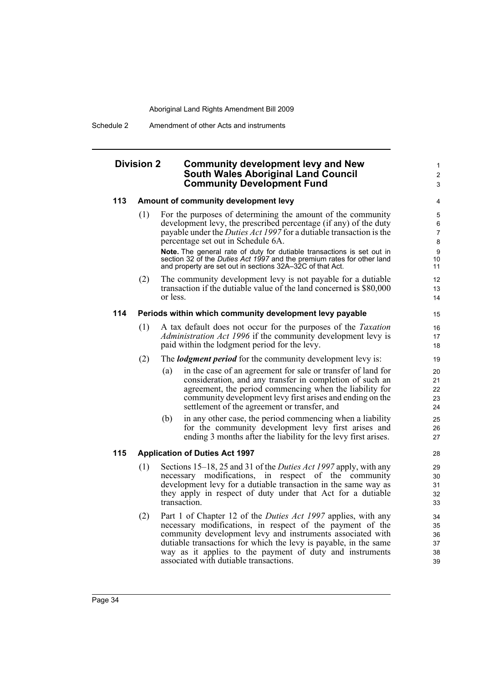Schedule 2 Amendment of other Acts and instruments

#### **Division 2 Community development levy and New South Wales Aboriginal Land Council Community Development Fund**

#### **113 Amount of community development levy**

(1) For the purposes of determining the amount of the community development levy, the prescribed percentage (if any) of the duty payable under the *Duties Act 1997* for a dutiable transaction is the percentage set out in Schedule 6A.

**Note.** The general rate of duty for dutiable transactions is set out in section 32 of the *Duties Act 1997* and the premium rates for other land and property are set out in sections 32A–32C of that Act.

(2) The community development levy is not payable for a dutiable transaction if the dutiable value of the land concerned is \$80,000 or less.

#### **114 Periods within which community development levy payable**

- (1) A tax default does not occur for the purposes of the *Taxation Administration Act 1996* if the community development levy is paid within the lodgment period for the levy.
- (2) The *lodgment period* for the community development levy is:
	- (a) in the case of an agreement for sale or transfer of land for consideration, and any transfer in completion of such an agreement, the period commencing when the liability for community development levy first arises and ending on the settlement of the agreement or transfer, and
	- (b) in any other case, the period commencing when a liability for the community development levy first arises and ending 3 months after the liability for the levy first arises.

#### **115 Application of Duties Act 1997**

- (1) Sections 15–18, 25 and 31 of the *Duties Act 1997* apply, with any necessary modifications, in respect of the community development levy for a dutiable transaction in the same way as they apply in respect of duty under that Act for a dutiable transaction.
- (2) Part 1 of Chapter 12 of the *Duties Act 1997* applies, with any necessary modifications, in respect of the payment of the community development levy and instruments associated with dutiable transactions for which the levy is payable, in the same way as it applies to the payment of duty and instruments associated with dutiable transactions.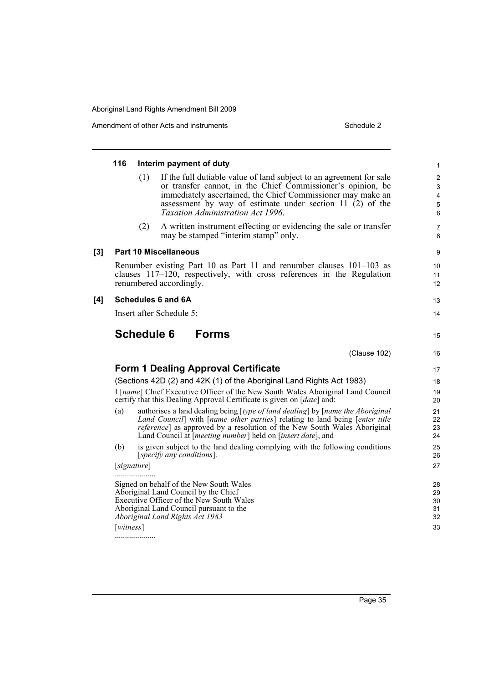#### **116 Interim payment of duty** (1) If the full dutiable value of land subject to an agreement for sale or transfer cannot, in the Chief Commissioner's opinion, be immediately ascertained, the Chief Commissioner may make an assessment by way of estimate under section 11 (2) of the *Taxation Administration Act 1996*. (2) A written instrument effecting or evidencing the sale or transfer may be stamped "interim stamp" only. **[3] Part 10 Miscellaneous** Renumber existing Part 10 as Part 11 and renumber clauses 101–103 as clauses 117–120, respectively, with cross references in the Regulation renumbered accordingly. **[4] Schedules 6 and 6A** Insert after Schedule 5: **Schedule 6 Forms** (Clause 102) **Form 1 Dealing Approval Certificate** (Sections 42D (2) and 42K (1) of the Aboriginal Land Rights Act 1983) I [*name*] Chief Executive Officer of the New South Wales Aboriginal Land Council certify that this Dealing Approval Certificate is given on [*date*] and: (a) authorises a land dealing being [*type of land dealing*] by [*name the Aboriginal Land Council*] with [*name other parties*] relating to land being [*enter title reference*] as approved by a resolution of the New South Wales Aboriginal Land Council at [*meeting number*] held on [*insert date*], and (b) is given subject to the land dealing complying with the following conditions [*specify any conditions*]. [*signature*] .................... Signed on behalf of the New South Wales Aboriginal Land Council by the Chief Executive Officer of the New South Wales Aboriginal Land Council pursuant to the *Aboriginal Land Rights Act 1983* [*witness*] .................... 1 2 3 4 5 6 7 8 9 10 11 12 13 14 15 16 17 18 19 20 21 22 23 24 25 26 27 28 29 30 31 32 33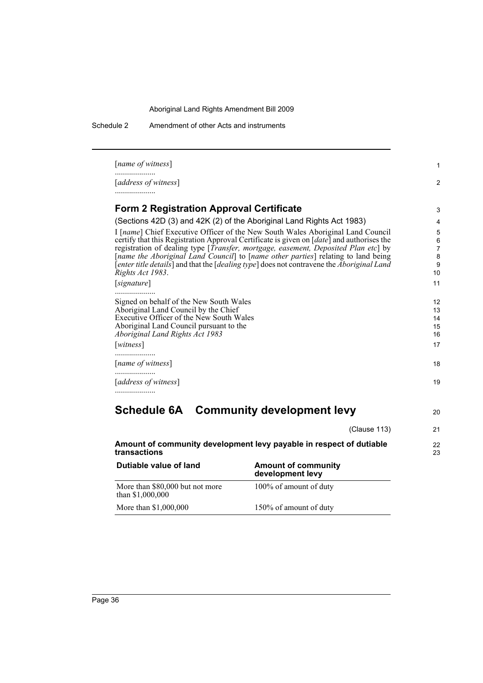Schedule 2 Amendment of other Acts and instruments

| [address of witness]                                                            |                                                                                                                                                                                |  |
|---------------------------------------------------------------------------------|--------------------------------------------------------------------------------------------------------------------------------------------------------------------------------|--|
| <b>Form 2 Registration Approval Certificate</b>                                 |                                                                                                                                                                                |  |
|                                                                                 | (Sections 42D (3) and 42K (2) of the Aboriginal Land Rights Act 1983)                                                                                                          |  |
|                                                                                 | I [name] Chief Executive Officer of the New South Wales Aboriginal Land Council                                                                                                |  |
|                                                                                 | certify that this Registration Approval Certificate is given on [ <i>date</i> ] and authorises the                                                                             |  |
|                                                                                 | registration of dealing type [ <i>Transfer, mortgage, easement, Deposited Plan etc</i> ] by                                                                                    |  |
|                                                                                 | [name the Aboriginal Land Council] to [name other parties] relating to land being<br>[enter title details] and that the [dealing type] does not contravene the Aboriginal Land |  |
| Rights Act 1983.                                                                |                                                                                                                                                                                |  |
| [signature]                                                                     |                                                                                                                                                                                |  |
|                                                                                 |                                                                                                                                                                                |  |
| Signed on behalf of the New South Wales<br>Aboriginal Land Council by the Chief |                                                                                                                                                                                |  |
| Executive Officer of the New South Wales                                        |                                                                                                                                                                                |  |
| Aboriginal Land Council pursuant to the                                         |                                                                                                                                                                                |  |
| <b>Aboriginal Land Rights Act 1983</b>                                          |                                                                                                                                                                                |  |
| [witness]<br>.                                                                  |                                                                                                                                                                                |  |
| [name of witness]                                                               |                                                                                                                                                                                |  |
| .<br>[address of witness]<br>.                                                  |                                                                                                                                                                                |  |
| <b>Schedule 6A Community development levy</b>                                   |                                                                                                                                                                                |  |
|                                                                                 |                                                                                                                                                                                |  |
|                                                                                 | (Clause 113)                                                                                                                                                                   |  |
|                                                                                 | Amount of community development levy payable in respect of dutiable                                                                                                            |  |
| transactions<br>Dutiable value of land                                          | <b>Amount of community</b><br>development levy                                                                                                                                 |  |
| More than \$80,000 but not more<br>than \$1,000,000                             | 100% of amount of duty                                                                                                                                                         |  |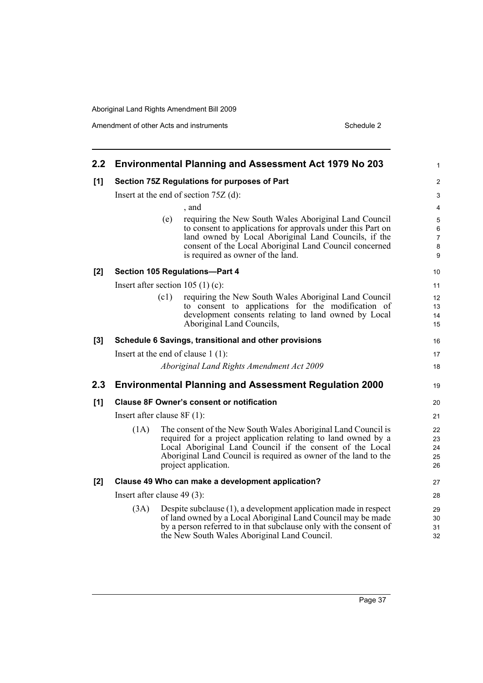| 2.2 |                               | <b>Environmental Planning and Assessment Act 1979 No 203</b>                                                                                                                                                                                                                            | $\mathbf{1}$                                   |
|-----|-------------------------------|-----------------------------------------------------------------------------------------------------------------------------------------------------------------------------------------------------------------------------------------------------------------------------------------|------------------------------------------------|
| [1] |                               | Section 75Z Regulations for purposes of Part                                                                                                                                                                                                                                            | $\overline{2}$                                 |
|     |                               | Insert at the end of section $75Z$ (d):                                                                                                                                                                                                                                                 | 3                                              |
|     |                               | , and                                                                                                                                                                                                                                                                                   | $\overline{4}$                                 |
|     |                               | (e)<br>requiring the New South Wales Aboriginal Land Council<br>to consent to applications for approvals under this Part on<br>land owned by Local Aboriginal Land Councils, if the<br>consent of the Local Aboriginal Land Council concerned<br>is required as owner of the land.      | 5<br>$\,6\,$<br>$\overline{7}$<br>$\bf 8$<br>9 |
| [2] |                               | Section 105 Regulations-Part 4                                                                                                                                                                                                                                                          | 10                                             |
|     |                               | Insert after section $105(1)(c)$ :                                                                                                                                                                                                                                                      | 11                                             |
|     |                               | (c1)<br>requiring the New South Wales Aboriginal Land Council<br>to consent to applications for the modification of<br>development consents relating to land owned by Local<br>Aboriginal Land Councils,                                                                                | 12<br>13<br>14<br>15                           |
| [3] |                               | Schedule 6 Savings, transitional and other provisions                                                                                                                                                                                                                                   | 16                                             |
|     |                               | Insert at the end of clause $1(1)$ :                                                                                                                                                                                                                                                    | 17                                             |
|     |                               | Aboriginal Land Rights Amendment Act 2009                                                                                                                                                                                                                                               | 18                                             |
| 2.3 |                               | <b>Environmental Planning and Assessment Regulation 2000</b>                                                                                                                                                                                                                            | 19                                             |
| [1] |                               | <b>Clause 8F Owner's consent or notification</b>                                                                                                                                                                                                                                        | 20                                             |
|     | Insert after clause $8F(1)$ : |                                                                                                                                                                                                                                                                                         |                                                |
|     | (1A)                          | The consent of the New South Wales Aboriginal Land Council is<br>required for a project application relating to land owned by a<br>Local Aboriginal Land Council if the consent of the Local<br>Aboriginal Land Council is required as owner of the land to the<br>project application. | 22<br>23<br>24<br>25<br>26                     |
| [2] |                               | Clause 49 Who can make a development application?                                                                                                                                                                                                                                       | 27                                             |
|     |                               | Insert after clause $49(3)$ :                                                                                                                                                                                                                                                           | 28                                             |
|     | (3A)                          | Despite subclause (1), a development application made in respect<br>of land owned by a Local Aboriginal Land Council may be made<br>by a person referred to in that subclause only with the consent of<br>the New South Wales Aboriginal Land Council.                                  | 29<br>30<br>31<br>32                           |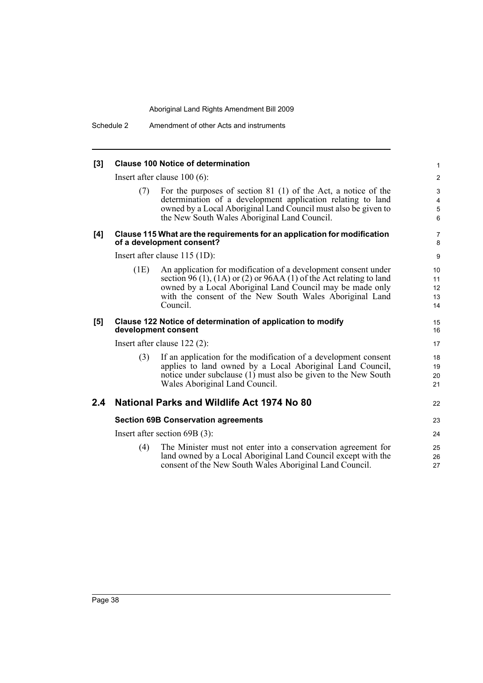| $[3]$ | <b>Clause 100 Notice of determination</b><br>Insert after clause $100(6)$ : |                                                                                                                                                                                                                                                                           |                                                  |
|-------|-----------------------------------------------------------------------------|---------------------------------------------------------------------------------------------------------------------------------------------------------------------------------------------------------------------------------------------------------------------------|--------------------------------------------------|
|       |                                                                             |                                                                                                                                                                                                                                                                           |                                                  |
|       | (7)                                                                         | For the purposes of section 81 $(1)$ of the Act, a notice of the<br>determination of a development application relating to land<br>owned by a Local Aboriginal Land Council must also be given to<br>the New South Wales Aboriginal Land Council.                         | 3<br>$\overline{\mathbf{4}}$<br>$\mathbf 5$<br>6 |
| [4]   |                                                                             | Clause 115 What are the requirements for an application for modification<br>of a development consent?                                                                                                                                                                     | $\overline{7}$<br>$\bf 8$                        |
|       |                                                                             | Insert after clause $115 (1D)$ :                                                                                                                                                                                                                                          | 9                                                |
|       | (1E)                                                                        | An application for modification of a development consent under<br>section 96 (1), (1A) or (2) or 96AA (1) of the Act relating to land<br>owned by a Local Aboriginal Land Council may be made only<br>with the consent of the New South Wales Aboriginal Land<br>Council. | 10<br>11<br>12<br>13<br>14                       |
| [5]   |                                                                             | Clause 122 Notice of determination of application to modify<br>development consent                                                                                                                                                                                        | 15<br>16                                         |
|       | Insert after clause $122(2)$ :                                              |                                                                                                                                                                                                                                                                           |                                                  |
|       | (3)                                                                         | If an application for the modification of a development consent<br>applies to land owned by a Local Aboriginal Land Council,<br>notice under subclause (1) must also be given to the New South<br>Wales Aboriginal Land Council.                                          | 18<br>19<br>20<br>21                             |
| 2.4   |                                                                             | National Parks and Wildlife Act 1974 No 80                                                                                                                                                                                                                                | 22                                               |
|       |                                                                             | <b>Section 69B Conservation agreements</b>                                                                                                                                                                                                                                | 23                                               |
|       | Insert after section $69B(3)$ :                                             |                                                                                                                                                                                                                                                                           |                                                  |
|       | (4)                                                                         | The Minister must not enter into a conservation agreement for<br>land owned by a Local Aboriginal Land Council except with the<br>consent of the New South Wales Aboriginal Land Council.                                                                                 | 25<br>26<br>27                                   |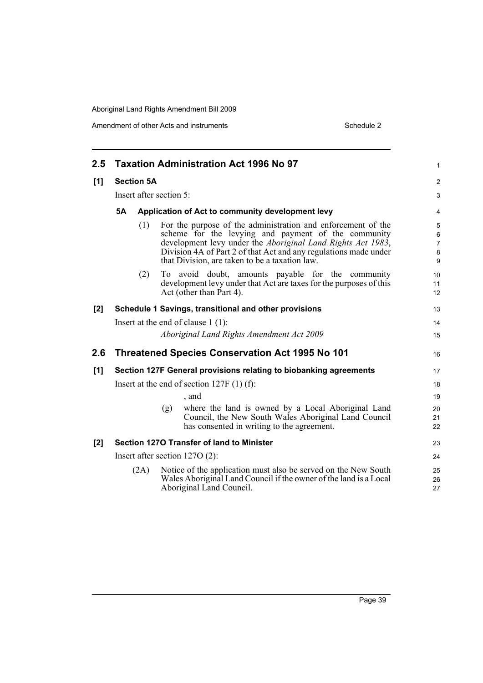Amendment of other Acts and instruments Schedule 2

| 2.5   |                   |      | <b>Taxation Administration Act 1996 No 97</b>                                                                                                                                                                                                                                                                    | 1                                  |
|-------|-------------------|------|------------------------------------------------------------------------------------------------------------------------------------------------------------------------------------------------------------------------------------------------------------------------------------------------------------------|------------------------------------|
| [1]   | <b>Section 5A</b> |      |                                                                                                                                                                                                                                                                                                                  | $\overline{2}$                     |
|       |                   |      | Insert after section 5:                                                                                                                                                                                                                                                                                          | 3                                  |
|       | <b>5A</b>         |      | Application of Act to community development levy                                                                                                                                                                                                                                                                 | 4                                  |
|       |                   | (1)  | For the purpose of the administration and enforcement of the<br>scheme for the levying and payment of the community<br>development levy under the <i>Aboriginal Land Rights Act 1983</i> ,<br>Division 4A of Part 2 of that Act and any regulations made under<br>that Division, are taken to be a taxation law. | 5<br>6<br>$\overline{7}$<br>8<br>9 |
|       |                   | (2)  | To avoid doubt, amounts payable for the community<br>development levy under that Act are taxes for the purposes of this<br>Act (other than Part 4).                                                                                                                                                              | 10<br>11<br>12                     |
| [2]   |                   |      | Schedule 1 Savings, transitional and other provisions                                                                                                                                                                                                                                                            | 13                                 |
|       |                   |      | Insert at the end of clause $1(1)$ :                                                                                                                                                                                                                                                                             | 14                                 |
|       |                   |      | Aboriginal Land Rights Amendment Act 2009                                                                                                                                                                                                                                                                        | 15                                 |
| 2.6   |                   |      | <b>Threatened Species Conservation Act 1995 No 101</b>                                                                                                                                                                                                                                                           | 16                                 |
| [1]   |                   |      | Section 127F General provisions relating to biobanking agreements                                                                                                                                                                                                                                                | 17                                 |
|       |                   |      | Insert at the end of section 127F $(1)$ (f):                                                                                                                                                                                                                                                                     | 18                                 |
|       |                   |      | , and                                                                                                                                                                                                                                                                                                            | 19                                 |
|       |                   |      | where the land is owned by a Local Aboriginal Land<br>(g)<br>Council, the New South Wales Aboriginal Land Council<br>has consented in writing to the agreement.                                                                                                                                                  | 20<br>21<br>22                     |
| $[2]$ |                   |      | Section 1270 Transfer of land to Minister                                                                                                                                                                                                                                                                        | 23                                 |
|       |                   |      | Insert after section $127O(2)$ :                                                                                                                                                                                                                                                                                 | 24                                 |
|       |                   | (2A) | Notice of the application must also be served on the New South<br>Wales Aboriginal Land Council if the owner of the land is a Local<br>Aboriginal Land Council.                                                                                                                                                  | 25<br>26<br>27                     |